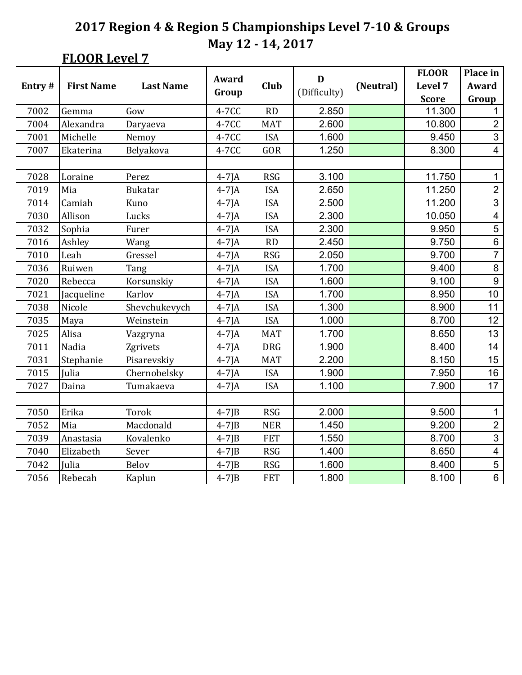# **FLOOR Level 7**

|        |                   |                  | Award       |            | D            |           | <b>FLOOR</b> | Place in                 |
|--------|-------------------|------------------|-------------|------------|--------------|-----------|--------------|--------------------------|
| Entry# | <b>First Name</b> | <b>Last Name</b> |             | Club       | (Difficulty) | (Neutral) | Level 7      | Award                    |
|        |                   |                  | Group       |            |              |           | <b>Score</b> | Group                    |
| 7002   | Gemma             | Gow              | 4-7CC       | RD         | 2.850        |           | 11.300       | 1                        |
| 7004   | Alexandra         | Daryaeva         | 4-7CC       | <b>MAT</b> | 2.600        |           | 10.800       | $\overline{2}$           |
| 7001   | Michelle          | Nemoy            | 4-7CC       | <b>ISA</b> | 1.600        |           | 9.450        | $\overline{3}$           |
| 7007   | Ekaterina         | Belyakova        | 4-7CC       | GOR        | 1.250        |           | 8.300        | $\overline{\mathbf{4}}$  |
|        |                   |                  |             |            |              |           |              |                          |
| 7028   | Loraine           | Perez            | $4-7$ JA    | <b>RSG</b> | 3.100        |           | 11.750       | $\mathbf{1}$             |
| 7019   | Mia               | <b>Bukatar</b>   | $4-7$ JA    | <b>ISA</b> | 2.650        |           | 11.250       | $\overline{2}$           |
| 7014   | Camiah            | Kuno             | $4-7$ JA    | <b>ISA</b> | 2.500        |           | 11.200       | $\overline{3}$           |
| 7030   | Allison           | Lucks            | $4-7$ JA    | <b>ISA</b> | 2.300        |           | 10.050       | $\overline{\mathbf{4}}$  |
| 7032   | Sophia            | Furer            | $4-7$ JA    | <b>ISA</b> | 2.300        |           | 9.950        | $\overline{5}$           |
| 7016   | Ashley            | Wang             | $4-7$ JA    | <b>RD</b>  | 2.450        |           | 9.750        | $\,6$                    |
| 7010   | Leah              | Gressel          | $4-7$ JA    | <b>RSG</b> | 2.050        |           | 9.700        | $\overline{7}$           |
| 7036   | Ruiwen            | Tang             | $4-7$ JA    | <b>ISA</b> | 1.700        |           | 9.400        | 8                        |
| 7020   | Rebecca           | Korsunskiy       | $4-7$ JA    | <b>ISA</b> | 1.600        |           | 9.100        | $\boldsymbol{9}$         |
| 7021   | Jacqueline        | Karlov           | $4-7$ JA    | <b>ISA</b> | 1.700        |           | 8.950        | 10                       |
| 7038   | Nicole            | Shevchukevych    | $4-7$ JA    | <b>ISA</b> | 1.300        |           | 8.900        | 11                       |
| 7035   | Maya              | Weinstein        | $4-7$ JA    | <b>ISA</b> | 1.000        |           | 8.700        | 12                       |
| 7025   | Alisa             | Vazgryna         | $4-7$ JA    | <b>MAT</b> | 1.700        |           | 8.650        | 13                       |
| 7011   | Nadia             | Zgrivets         | $4-7$ JA    | <b>DRG</b> | 1.900        |           | 8.400        | 14                       |
| 7031   | Stephanie         | Pisarevskiy      | $4-7$ JA    | <b>MAT</b> | 2.200        |           | 8.150        | 15                       |
| 7015   | Julia             | Chernobelsky     | $4-7$ JA    | <b>ISA</b> | 1.900        |           | 7.950        | 16                       |
| 7027   | Daina             | Tumakaeva        | $4-7$ JA    | <b>ISA</b> | 1.100        |           | 7.900        | 17                       |
|        |                   |                  |             |            |              |           |              |                          |
| 7050   | Erika             | Torok            | $4-7$ J $B$ | <b>RSG</b> | 2.000        |           | 9.500        | 1                        |
| 7052   | Mia               | Macdonald        | $4-7$ J $B$ | <b>NER</b> | 1.450        |           | 9.200        | $\overline{2}$           |
| 7039   | Anastasia         | Kovalenko        | $4-7$ J $B$ | <b>FET</b> | 1.550        |           | 8.700        | $\overline{3}$           |
| 7040   | Elizabeth         | Sever            | $4-7$ J $B$ | <b>RSG</b> | 1.400        |           | 8.650        | $\overline{\mathcal{A}}$ |
| 7042   | Julia             | Belov            | $4-7$ J $B$ | <b>RSG</b> | 1.600        |           | 8.400        | $\overline{5}$           |
| 7056   | Rebecah           | Kaplun           | $4-7$ J $B$ | <b>FET</b> | 1.800        |           | 8.100        | $\overline{6}$           |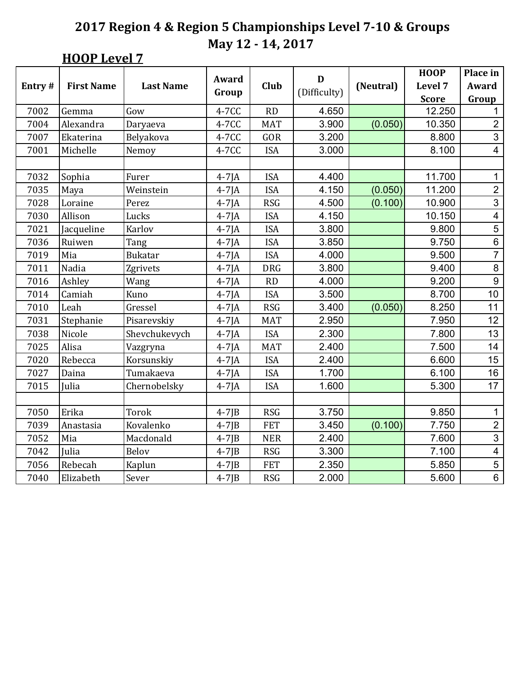# **HOOP** Level 7

|        |                   |                  | <b>Award</b> |            | D            |           | <b>HOOP</b>  | Place in                |
|--------|-------------------|------------------|--------------|------------|--------------|-----------|--------------|-------------------------|
| Entry# | <b>First Name</b> | <b>Last Name</b> | Group        | Club       | (Difficulty) | (Neutral) | Level 7      | Award                   |
|        |                   |                  |              |            |              |           | <b>Score</b> | Group                   |
| 7002   | Gemma             | Gow              | 4-7CC        | RD         | 4.650        |           | 12.250       | 1                       |
| 7004   | Alexandra         | Daryaeva         | 4-7CC        | <b>MAT</b> | 3.900        | (0.050)   | 10.350       | $\overline{2}$          |
| 7007   | Ekaterina         | Belyakova        | 4-7CC        | GOR        | 3.200        |           | 8.800        | $\overline{3}$          |
| 7001   | Michelle          | Nemoy            | 4-7CC        | <b>ISA</b> | 3.000        |           | 8.100        | 4                       |
|        |                   |                  |              |            |              |           |              |                         |
| 7032   | Sophia            | Furer            | $4-7$ JA     | <b>ISA</b> | 4.400        |           | 11.700       | $\mathbf{1}$            |
| 7035   | Maya              | Weinstein        | $4-7$ JA     | <b>ISA</b> | 4.150        | (0.050)   | 11.200       | $\overline{2}$          |
| 7028   | Loraine           | Perez            | $4-7$ JA     | <b>RSG</b> | 4.500        | (0.100)   | 10.900       | $\overline{3}$          |
| 7030   | Allison           | Lucks            | $4-7$ JA     | <b>ISA</b> | 4.150        |           | 10.150       | $\overline{\mathbf{4}}$ |
| 7021   | Jacqueline        | Karlov           | $4-7$ JA     | <b>ISA</b> | 3.800        |           | 9.800        | $\overline{5}$          |
| 7036   | Ruiwen            | Tang             | $4-7$ JA     | <b>ISA</b> | 3.850        |           | 9.750        | $\,6$                   |
| 7019   | Mia               | <b>Bukatar</b>   | $4-7$ JA     | <b>ISA</b> | 4.000        |           | 9.500        | $\overline{7}$          |
| 7011   | Nadia             | Zgrivets         | $4-7$ JA     | <b>DRG</b> | 3.800        |           | 9.400        | $\,8\,$                 |
| 7016   | Ashley            | Wang             | $4-7$ JA     | RD         | 4.000        |           | 9.200        | $\overline{9}$          |
| 7014   | Camiah            | Kuno             | $4-7$ JA     | <b>ISA</b> | 3.500        |           | 8.700        | 10                      |
| 7010   | Leah              | Gressel          | $4-7$ JA     | <b>RSG</b> | 3.400        | (0.050)   | 8.250        | 11                      |
| 7031   | Stephanie         | Pisarevskiy      | $4-7$ JA     | <b>MAT</b> | 2.950        |           | 7.950        | 12                      |
| 7038   | Nicole            | Shevchukevych    | $4-7$ JA     | <b>ISA</b> | 2.300        |           | 7.800        | 13                      |
| 7025   | Alisa             | Vazgryna         | $4-7$ JA     | <b>MAT</b> | 2.400        |           | 7.500        | 14                      |
| 7020   | Rebecca           | Korsunskiy       | $4-7$ JA     | <b>ISA</b> | 2.400        |           | 6.600        | 15                      |
| 7027   | Daina             | Tumakaeva        | $4-7$ JA     | <b>ISA</b> | 1.700        |           | 6.100        | 16                      |
| 7015   | Julia             | Chernobelsky     | $4-7$ JA     | <b>ISA</b> | 1.600        |           | 5.300        | 17                      |
|        |                   |                  |              |            |              |           |              |                         |
| 7050   | Erika             | Torok            | $4-7$ J $B$  | <b>RSG</b> | 3.750        |           | 9.850        | 1                       |
| 7039   | Anastasia         | Kovalenko        | $4-7$ J $B$  | <b>FET</b> | 3.450        | (0.100)   | 7.750        | $\overline{c}$          |
| 7052   | Mia               | Macdonald        | $4-7$ J $B$  | <b>NER</b> | 2.400        |           | 7.600        | $\overline{3}$          |
| 7042   | Julia             | <b>Belov</b>     | $4-7$ J $B$  | <b>RSG</b> | 3.300        |           | 7.100        | $\overline{\mathbf{4}}$ |
| 7056   | Rebecah           | Kaplun           | $4-7$ J $B$  | <b>FET</b> | 2.350        |           | 5.850        | $\overline{5}$          |
| 7040   | Elizabeth         | Sever            | $4-7$ J $B$  | <b>RSG</b> | 2.000        |           | 5.600        | $\overline{6}$          |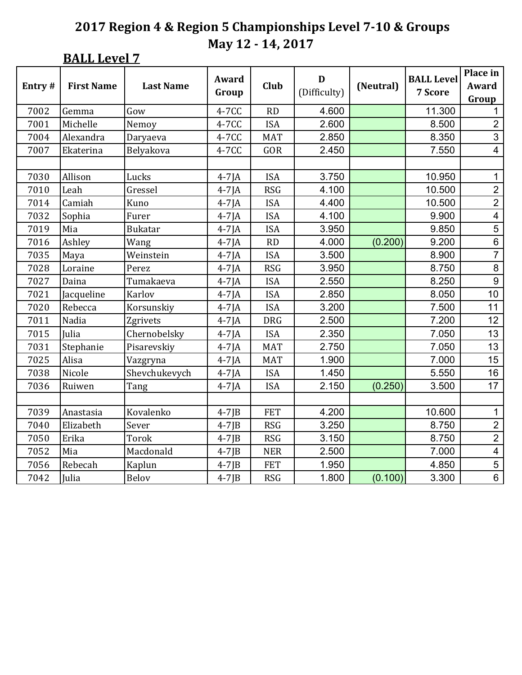**BALL Level 7** 

|        |                   |                  | Award       |            | D            |           | <b>BALL Level</b> | Place in                |
|--------|-------------------|------------------|-------------|------------|--------------|-----------|-------------------|-------------------------|
| Entry# | <b>First Name</b> | <b>Last Name</b> |             | Club       |              | (Neutral) |                   | Award                   |
|        |                   |                  | Group       |            | (Difficulty) |           | 7 Score           | Group                   |
| 7002   | Gemma             | Gow              | 4-7CC       | RD         | 4.600        |           | 11.300            | 1                       |
| 7001   | Michelle          | Nemoy            | 4-7CC       | <b>ISA</b> | 2.600        |           | 8.500             | $\overline{2}$          |
| 7004   | Alexandra         | Daryaeva         | 4-7CC       | <b>MAT</b> | 2.850        |           | 8.350             | $\overline{3}$          |
| 7007   | Ekaterina         | Belyakova        | 4-7CC       | GOR        | 2.450        |           | 7.550             | $\overline{\mathbf{4}}$ |
|        |                   |                  |             |            |              |           |                   |                         |
| 7030   | Allison           | Lucks            | $4-7$ JA    | <b>ISA</b> | 3.750        |           | 10.950            | $\mathbf{1}$            |
| 7010   | Leah              | Gressel          | $4-7$ JA    | <b>RSG</b> | 4.100        |           | 10.500            | $\overline{2}$          |
| 7014   | Camiah            | Kuno             | $4-7$ JA    | <b>ISA</b> | 4.400        |           | 10.500            | $\overline{2}$          |
| 7032   | Sophia            | Furer            | $4-7$ JA    | <b>ISA</b> | 4.100        |           | 9.900             | $\overline{\mathbf{4}}$ |
| 7019   | Mia               | <b>Bukatar</b>   | $4-7$ JA    | <b>ISA</b> | 3.950        |           | 9.850             | $\overline{5}$          |
| 7016   | Ashley            | Wang             | $4-7$ JA    | <b>RD</b>  | 4.000        | (0.200)   | 9.200             | $\,6$                   |
| 7035   | Maya              | Weinstein        | $4-7$ JA    | <b>ISA</b> | 3.500        |           | 8.900             | $\overline{7}$          |
| 7028   | Loraine           | Perez            | $4-7$ JA    | <b>RSG</b> | 3.950        |           | 8.750             | $\bf 8$                 |
| 7027   | Daina             | Tumakaeva        | $4-7$ JA    | <b>ISA</b> | 2.550        |           | 8.250             | $\boldsymbol{9}$        |
| 7021   | Jacqueline        | Karlov           | $4-7$ JA    | <b>ISA</b> | 2.850        |           | 8.050             | 10                      |
| 7020   | Rebecca           | Korsunskiy       | $4-7$ JA    | <b>ISA</b> | 3.200        |           | 7.500             | 11                      |
| 7011   | Nadia             | Zgrivets         | $4-7$ JA    | <b>DRG</b> | 2.500        |           | 7.200             | 12                      |
| 7015   | Julia             | Chernobelsky     | $4-7$ JA    | <b>ISA</b> | 2.350        |           | 7.050             | 13                      |
| 7031   | Stephanie         | Pisarevskiy      | $4-7$ JA    | <b>MAT</b> | 2.750        |           | 7.050             | 13                      |
| 7025   | Alisa             | Vazgryna         | $4-7$ JA    | <b>MAT</b> | 1.900        |           | 7.000             | 15                      |
| 7038   | Nicole            | Shevchukevych    | $4-7$ JA    | <b>ISA</b> | 1.450        |           | 5.550             | 16                      |
| 7036   | Ruiwen            | Tang             | $4-7$ JA    | <b>ISA</b> | 2.150        | (0.250)   | 3.500             | 17                      |
|        |                   |                  |             |            |              |           |                   |                         |
| 7039   | Anastasia         | Kovalenko        | $4-7$ J $B$ | <b>FET</b> | 4.200        |           | 10.600            | 1                       |
| 7040   | Elizabeth         | Sever            | $4-7$ J $B$ | <b>RSG</b> | 3.250        |           | 8.750             | $\overline{2}$          |
| 7050   | Erika             | Torok            | $4-7$ J $B$ | <b>RSG</b> | 3.150        |           | 8.750             | $\overline{2}$          |
| 7052   | Mia               | Macdonald        | $4-7$ J $B$ | <b>NER</b> | 2.500        |           | 7.000             | $\overline{\mathbf{4}}$ |
| 7056   | Rebecah           | Kaplun           | $4-7$ JB    | <b>FET</b> | 1.950        |           | 4.850             | $\overline{5}$          |
| 7042   | Julia             | Belov            | $4-7$ J $B$ | <b>RSG</b> | 1.800        | (0.100)   | 3.300             | $\overline{6}$          |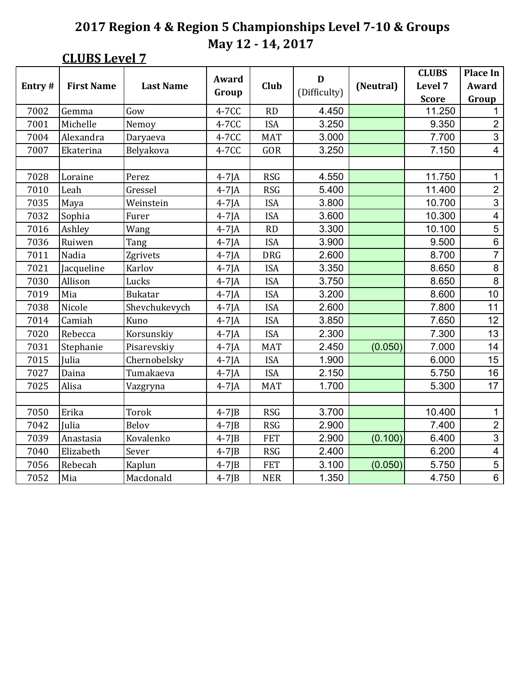### **CLUBS Level 7**

|        |                   |                  | Award       |            | D            |           | <b>CLUBS</b> | <b>Place In</b>         |
|--------|-------------------|------------------|-------------|------------|--------------|-----------|--------------|-------------------------|
| Entry# | <b>First Name</b> | <b>Last Name</b> | Group       | Club       | (Difficulty) | (Neutral) | Level 7      | <b>Award</b>            |
|        |                   |                  |             |            |              |           | <b>Score</b> | Group                   |
| 7002   | Gemma             | Gow              | 4-7CC       | <b>RD</b>  | 4.450        |           | 11.250       | 1                       |
| 7001   | Michelle          | Nemoy            | 4-7CC       | <b>ISA</b> | 3.250        |           | 9.350        | $\overline{2}$          |
| 7004   | Alexandra         | Daryaeva         | 4-7CC       | <b>MAT</b> | 3.000        |           | 7.700        | 3                       |
| 7007   | Ekaterina         | Belyakova        | 4-7CC       | GOR        | 3.250        |           | 7.150        | $\overline{\mathbf{4}}$ |
|        |                   |                  |             |            |              |           |              |                         |
| 7028   | Loraine           | Perez            | $4-7$ JA    | <b>RSG</b> | 4.550        |           | 11.750       | $\mathbf{1}$            |
| 7010   | Leah              | Gressel          | $4-7$ JA    | <b>RSG</b> | 5.400        |           | 11.400       | $\overline{c}$          |
| 7035   | Maya              | Weinstein        | $4-7$ JA    | <b>ISA</b> | 3.800        |           | 10.700       | $\overline{3}$          |
| 7032   | Sophia            | Furer            | $4-7$ JA    | <b>ISA</b> | 3.600        |           | 10.300       | $\overline{\mathbf{4}}$ |
| 7016   | Ashley            | Wang             | $4-7$ JA    | RD         | 3.300        |           | 10.100       | 5                       |
| 7036   | Ruiwen            | Tang             | $4-7$ JA    | <b>ISA</b> | 3.900        |           | 9.500        | $\overline{6}$          |
| 7011   | Nadia             | Zgrivets         | $4-7$ JA    | <b>DRG</b> | 2.600        |           | 8.700        | $\overline{7}$          |
| 7021   | Jacqueline        | Karlov           | $4-7$ JA    | <b>ISA</b> | 3.350        |           | 8.650        | $\bf 8$                 |
| 7030   | Allison           | Lucks            | $4-7$ JA    | <b>ISA</b> | 3.750        |           | 8.650        | 8                       |
| 7019   | Mia               | <b>Bukatar</b>   | $4-7$ JA    | <b>ISA</b> | 3.200        |           | 8.600        | 10                      |
| 7038   | Nicole            | Shevchukevych    | $4-7$ JA    | <b>ISA</b> | 2.600        |           | 7.800        | 11                      |
| 7014   | Camiah            | Kuno             | $4-7$ JA    | <b>ISA</b> | 3.850        |           | 7.650        | 12                      |
| 7020   | Rebecca           | Korsunskiy       | $4-7$ JA    | <b>ISA</b> | 2.300        |           | 7.300        | 13                      |
| 7031   | Stephanie         | Pisarevskiy      | $4-7$ JA    | <b>MAT</b> | 2.450        | (0.050)   | 7.000        | 14                      |
| 7015   | Julia             | Chernobelsky     | $4-7$ JA    | <b>ISA</b> | 1.900        |           | 6.000        | 15                      |
| 7027   | Daina             | Tumakaeva        | $4-7$ JA    | <b>ISA</b> | 2.150        |           | 5.750        | 16                      |
| 7025   | Alisa             | Vazgryna         | $4-7$ JA    | <b>MAT</b> | 1.700        |           | 5.300        | 17                      |
|        |                   |                  |             |            |              |           |              |                         |
| 7050   | Erika             | Torok            | $4-7$ J $B$ | <b>RSG</b> | 3.700        |           | 10.400       | $\mathbf{1}$            |
| 7042   | Julia             | Belov            | $4-7$ J $B$ | <b>RSG</b> | 2.900        |           | 7.400        | $\overline{\mathbf{c}}$ |
| 7039   | Anastasia         | Kovalenko        | $4-7$ JB    | <b>FET</b> | 2.900        | (0.100)   | 6.400        | $\overline{3}$          |
| 7040   | Elizabeth         | Sever            | $4-7$ J $B$ | <b>RSG</b> | 2.400        |           | 6.200        | $\overline{\mathbf{4}}$ |
| 7056   | Rebecah           | Kaplun           | $4-7$ J $B$ | <b>FET</b> | 3.100        | (0.050)   | 5.750        | 5                       |
| 7052   | Mia               | Macdonald        | $4-7$ J $B$ | <b>NER</b> | 1.350        |           | 4.750        | $\overline{6}$          |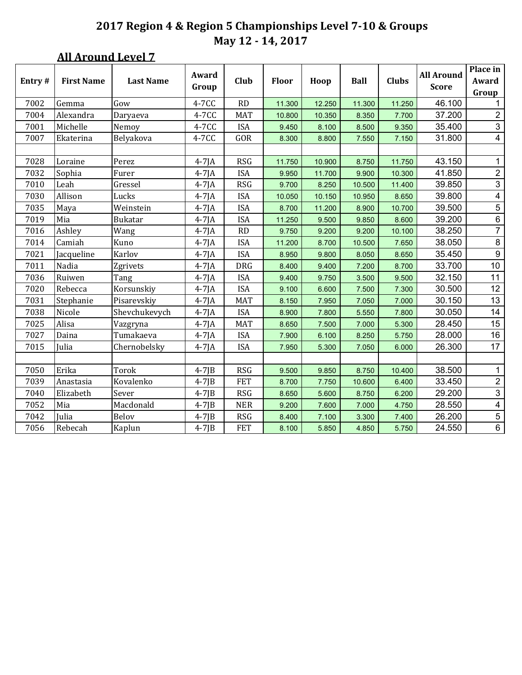### **All Around Level 7**

| Entry# | <b>First Name</b> | <b>Last Name</b> | Award<br>Group | <b>Club</b> | <b>Floor</b> | Hoop   | <b>Ball</b> | <b>Clubs</b> | <b>All Around</b><br><b>Score</b> | Place in<br>Award<br>Group |
|--------|-------------------|------------------|----------------|-------------|--------------|--------|-------------|--------------|-----------------------------------|----------------------------|
| 7002   | Gemma             | Gow              | 4-7CC          | <b>RD</b>   | 11.300       | 12.250 | 11.300      | 11.250       | 46.100                            | $\mathbf 1$                |
| 7004   | Alexandra         | Daryaeva         | 4-7CC          | <b>MAT</b>  | 10.800       | 10.350 | 8.350       | 7.700        | 37.200                            | $\overline{2}$             |
| 7001   | Michelle          | Nemoy            | 4-7CC          | <b>ISA</b>  | 9.450        | 8.100  | 8.500       | 9.350        | 35.400                            | $\mathbf{3}$               |
| 7007   | Ekaterina         | Belyakova        | 4-7CC          | GOR         | 8.300        | 8.800  | 7.550       | 7.150        | 31.800                            | $\overline{4}$             |
|        |                   |                  |                |             |              |        |             |              |                                   |                            |
| 7028   | Loraine           | Perez            | $4-7$ JA       | <b>RSG</b>  | 11.750       | 10.900 | 8.750       | 11.750       | 43.150                            | $\mathbf 1$                |
| 7032   | Sophia            | Furer            | $4-7$ JA       | <b>ISA</b>  | 9.950        | 11.700 | 9.900       | 10.300       | 41.850                            | $\overline{c}$             |
| 7010   | Leah              | Gressel          | $4-7$ JA       | <b>RSG</b>  | 9.700        | 8.250  | 10.500      | 11.400       | 39.850                            | $\overline{3}$             |
| 7030   | Allison           | Lucks            | $4-7$ JA       | <b>ISA</b>  | 10.050       | 10.150 | 10.950      | 8.650        | 39.800                            | $\overline{4}$             |
| 7035   | Maya              | Weinstein        | $4-7$ JA       | <b>ISA</b>  | 8.700        | 11.200 | 8.900       | 10.700       | 39.500                            | $\overline{5}$             |
| 7019   | Mia               | Bukatar          | $4-7$ JA       | <b>ISA</b>  | 11.250       | 9.500  | 9.850       | 8.600        | 39.200                            | $\,6\,$                    |
| 7016   | Ashley            | Wang             | $4-7$ JA       | <b>RD</b>   | 9.750        | 9.200  | 9.200       | 10.100       | 38.250                            | $\overline{7}$             |
| 7014   | Camiah            | Kuno             | $4-7$ JA       | <b>ISA</b>  | 11.200       | 8.700  | 10.500      | 7.650        | 38.050                            | $\,8\,$                    |
| 7021   | Jacqueline        | Karlov           | $4-7$ JA       | <b>ISA</b>  | 8.950        | 9.800  | 8.050       | 8.650        | 35.450                            | $\boldsymbol{9}$           |
| 7011   | Nadia             | Zgrivets         | $4-7$ JA       | <b>DRG</b>  | 8.400        | 9.400  | 7.200       | 8.700        | 33.700                            | 10                         |
| 7036   | Ruiwen            | Tang             | $4-7$ JA       | <b>ISA</b>  | 9.400        | 9.750  | 3.500       | 9.500        | 32.150                            | 11                         |
| 7020   | Rebecca           | Korsunskiy       | $4-7$ JA       | <b>ISA</b>  | 9.100        | 6.600  | 7.500       | 7.300        | 30.500                            | 12                         |
| 7031   | Stephanie         | Pisarevskiy      | $4-7$ JA       | <b>MAT</b>  | 8.150        | 7.950  | 7.050       | 7.000        | 30.150                            | 13                         |
| 7038   | Nicole            | Shevchukevych    | $4-7$ JA       | <b>ISA</b>  | 8.900        | 7.800  | 5.550       | 7.800        | 30.050                            | 14                         |
| 7025   | Alisa             | Vazgryna         | $4-7$ JA       | <b>MAT</b>  | 8.650        | 7.500  | 7.000       | 5.300        | 28.450                            | 15                         |
| 7027   | Daina             | Tumakaeva        | $4-7$ JA       | <b>ISA</b>  | 7.900        | 6.100  | 8.250       | 5.750        | 28.000                            | 16                         |
| 7015   | Julia             | Chernobelsky     | $4-7$ JA       | <b>ISA</b>  | 7.950        | 5.300  | 7.050       | 6.000        | 26.300                            | 17                         |
|        |                   |                  |                |             |              |        |             |              |                                   |                            |
| 7050   | Erika             | Torok            | $4-7$ J $B$    | <b>RSG</b>  | 9.500        | 9.850  | 8.750       | 10.400       | 38.500                            | $\mathbf{1}$               |
| 7039   | Anastasia         | Kovalenko        | $4-7$ JB       | <b>FET</b>  | 8.700        | 7.750  | 10.600      | 6.400        | 33.450                            | $\overline{2}$             |
| 7040   | Elizabeth         | Sever            | $4-7$ JB       | RSG         | 8.650        | 5.600  | 8.750       | 6.200        | 29.200                            | $\ensuremath{\mathsf{3}}$  |
| 7052   | Mia               | Macdonald        | $4-7$ J $B$    | <b>NER</b>  | 9.200        | 7.600  | 7.000       | 4.750        | 28.550                            | $\overline{\mathbf{4}}$    |
| 7042   | Julia             | Belov            | $4-7$ JB       | <b>RSG</b>  | 8.400        | 7.100  | 3.300       | 7.400        | 26.200                            | $\overline{5}$             |
| 7056   | Rebecah           | Kaplun           | $4-7$ JB       | <b>FET</b>  | 8.100        | 5.850  | 4.850       | 5.750        | 24.550                            | $6\phantom{a}$             |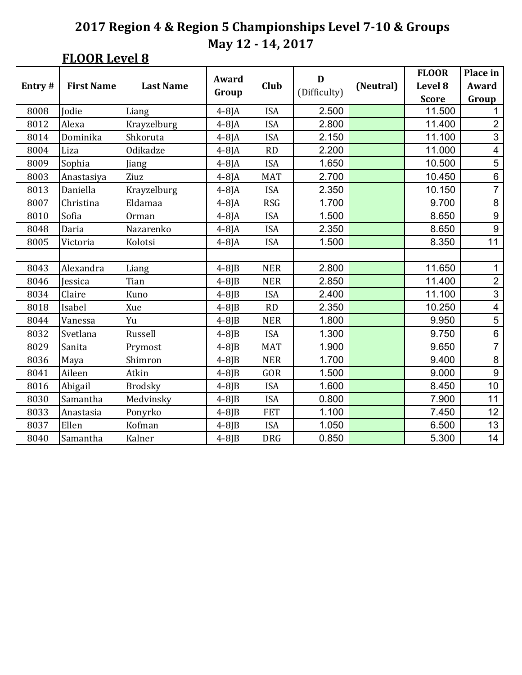## **FLOOR Level 8**

|        |                   |                  | Award       |            | D            |           | <b>FLOOR</b> | Place in                |
|--------|-------------------|------------------|-------------|------------|--------------|-----------|--------------|-------------------------|
| Entry# | <b>First Name</b> | <b>Last Name</b> |             | Club       |              | (Neutral) | Level 8      | Award                   |
|        |                   |                  | Group       |            | (Difficulty) |           | <b>Score</b> | Group                   |
| 8008   | Jodie             | Liang            | $4-8$ JA    | <b>ISA</b> | 2.500        |           | 11.500       | 1                       |
| 8012   | Alexa             | Krayzelburg      | $4-8$ JA    | <b>ISA</b> | 2.800        |           | 11.400       | $\overline{2}$          |
| 8014   | Dominika          | Shkoruta         | $4-8$ JA    | <b>ISA</b> | 2.150        |           | 11.100       | 3                       |
| 8004   | Liza              | Odikadze         | $4-8$ JA    | <b>RD</b>  | 2.200        |           | 11.000       | 4                       |
| 8009   | Sophia            | Jiang            | $4-8$ JA    | <b>ISA</b> | 1.650        |           | 10.500       | $\overline{5}$          |
| 8003   | Anastasiya        | Ziuz             | $4-8$ JA    | <b>MAT</b> | 2.700        |           | 10.450       | $\overline{6}$          |
| 8013   | Daniella          | Krayzelburg      | $4-8$ JA    | <b>ISA</b> | 2.350        |           | 10.150       | $\overline{7}$          |
| 8007   | Christina         | Eldamaa          | $4-8$ JA    | <b>RSG</b> | 1.700        |           | 9.700        | $\bf 8$                 |
| 8010   | Sofia             | Orman            | $4-8$ JA    | <b>ISA</b> | 1.500        |           | 8.650        | $\boldsymbol{9}$        |
| 8048   | Daria             | Nazarenko        | $4-8$ JA    | <b>ISA</b> | 2.350        |           | 8.650        | $\overline{9}$          |
| 8005   | Victoria          | Kolotsi          | $4-8$ JA    | <b>ISA</b> | 1.500        |           | 8.350        | 11                      |
|        |                   |                  |             |            |              |           |              |                         |
| 8043   | Alexandra         | Liang            | $4-8$ $B$   | <b>NER</b> | 2.800        |           | 11.650       | 1                       |
| 8046   | Jessica           | Tian             | $4-8$ J $B$ | <b>NER</b> | 2.850        |           | 11.400       | $\overline{2}$          |
| 8034   | Claire            | Kuno             | $4-8$ J $B$ | <b>ISA</b> | 2.400        |           | 11.100       | 3                       |
| 8018   | Isabel            | Xue              | $4-8$ J $B$ | <b>RD</b>  | 2.350        |           | 10.250       | $\overline{\mathbf{4}}$ |
| 8044   | Vanessa           | Yu               | $4-8$ J $B$ | <b>NER</b> | 1.800        |           | 9.950        | 5                       |
| 8032   | Svetlana          | Russell          | $4-8$ J $B$ | <b>ISA</b> | 1.300        |           | 9.750        | 6                       |
| 8029   | Sanita            | Prymost          | $4-8$ J $B$ | <b>MAT</b> | 1.900        |           | 9.650        | $\overline{7}$          |
| 8036   | Maya              | Shimron          | $4-8$ J $B$ | <b>NER</b> | 1.700        |           | 9.400        | $\bf 8$                 |
| 8041   | Aileen            | Atkin            | $4-8$ J $B$ | GOR        | 1.500        |           | 9.000        | $\overline{9}$          |
| 8016   | Abigail           | <b>Brodsky</b>   | $4-8$ J $B$ | <b>ISA</b> | 1.600        |           | 8.450        | 10                      |
| 8030   | Samantha          | Medvinsky        | $4-8$ JB    | <b>ISA</b> | 0.800        |           | 7.900        | 11                      |
| 8033   | Anastasia         | Ponyrko          | $4-8$ J $B$ | <b>FET</b> | 1.100        |           | 7.450        | 12                      |
| 8037   | Ellen             | Kofman           | $4-8$ J $B$ | <b>ISA</b> | 1.050        |           | 6.500        | 13                      |
| 8040   | Samantha          | Kalner           | $4-8$ J $B$ | <b>DRG</b> | 0.850        |           | 5.300        | 14                      |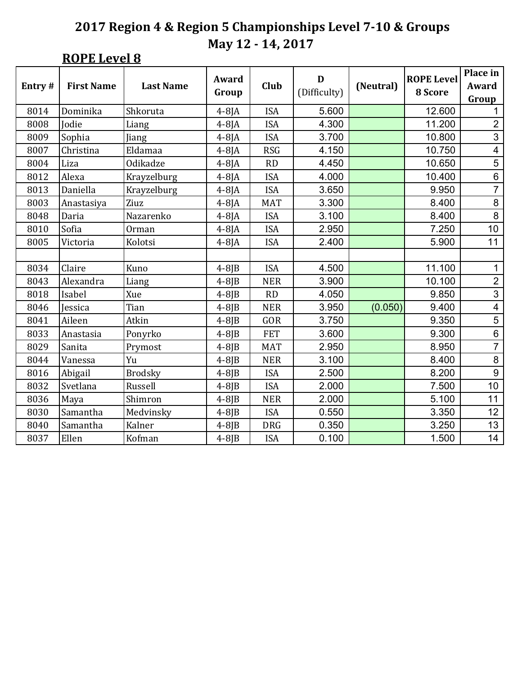**ROPE** Level 8

|        |                   |                  | Award       |             | D            |           | <b>ROPE Level</b> | Place in                       |
|--------|-------------------|------------------|-------------|-------------|--------------|-----------|-------------------|--------------------------------|
| Entry# | <b>First Name</b> | <b>Last Name</b> | Group       | <b>Club</b> | (Difficulty) | (Neutral) | 8 Score           | Award                          |
| 8014   | Dominika          | Shkoruta         | $4-8$ JA    | <b>ISA</b>  | 5.600        |           | 12.600            | Group<br>1                     |
|        |                   |                  |             |             | 4.300        |           |                   |                                |
| 8008   | Jodie             | Liang            | $4-8$ JA    | <b>ISA</b>  |              |           | 11.200            | $\mathbf{2}$<br>$\overline{3}$ |
| 8009   | Sophia            | Jiang            | $4-8$ JA    | <b>ISA</b>  | 3.700        |           | 10.800            |                                |
| 8007   | Christina         | Eldamaa          | $4-8$ JA    | <b>RSG</b>  | 4.150        |           | 10.750            | $\overline{\mathbf{4}}$        |
| 8004   | Liza              | Odikadze         | $4-8$ JA    | <b>RD</b>   | 4.450        |           | 10.650            | 5                              |
| 8012   | Alexa             | Krayzelburg      | $4-8$ JA    | <b>ISA</b>  | 4.000        |           | 10.400            | $\overline{6}$                 |
| 8013   | Daniella          | Krayzelburg      | $4-8$ JA    | <b>ISA</b>  | 3.650        |           | 9.950             | $\overline{7}$                 |
| 8003   | Anastasiya        | Ziuz             | $4-8$ JA    | <b>MAT</b>  | 3.300        |           | 8.400             | $\bf 8$                        |
| 8048   | Daria             | Nazarenko        | $4-8$ JA    | <b>ISA</b>  | 3.100        |           | 8.400             | $\bf 8$                        |
| 8010   | Sofia             | Orman            | $4-8$ JA    | <b>ISA</b>  | 2.950        |           | 7.250             | 10                             |
| 8005   | Victoria          | Kolotsi          | $4-8$ JA    | <b>ISA</b>  | 2.400        |           | 5.900             | 11                             |
|        |                   |                  |             |             |              |           |                   |                                |
| 8034   | Claire            | Kuno             | $4-8$ J $B$ | <b>ISA</b>  | 4.500        |           | 11.100            | 1                              |
| 8043   | Alexandra         | Liang            | $4-8$ J $B$ | <b>NER</b>  | 3.900        |           | 10.100            | $\overline{2}$                 |
| 8018   | Isabel            | Xue              | $4-8$ J $B$ | <b>RD</b>   | 4.050        |           | 9.850             | $\overline{3}$                 |
| 8046   | Jessica           | Tian             | $4-8$ J $B$ | <b>NER</b>  | 3.950        | (0.050)   | 9.400             | $\overline{\mathbf{4}}$        |
| 8041   | Aileen            | Atkin            | $4-8$ J $B$ | GOR         | 3.750        |           | 9.350             | 5                              |
| 8033   | Anastasia         | Ponyrko          | $4-8$ J $B$ | <b>FET</b>  | 3.600        |           | 9.300             | $6\phantom{a}$                 |
| 8029   | Sanita            | Prymost          | $4-8$ J $B$ | <b>MAT</b>  | 2.950        |           | 8.950             | $\overline{7}$                 |
| 8044   | Vanessa           | Yu               | $4-8$ J $B$ | <b>NER</b>  | 3.100        |           | 8.400             | 8                              |
| 8016   | Abigail           | <b>Brodsky</b>   | $4-8$ J $B$ | <b>ISA</b>  | 2.500        |           | 8.200             | $\boldsymbol{9}$               |
| 8032   | Svetlana          | Russell          | $4-8$ J $B$ | <b>ISA</b>  | 2.000        |           | 7.500             | 10                             |
| 8036   | Maya              | Shimron          | $4-8$ J $B$ | <b>NER</b>  | 2.000        |           | 5.100             | 11                             |
| 8030   | Samantha          | Medvinsky        | $4-8$ J $B$ | <b>ISA</b>  | 0.550        |           | 3.350             | 12                             |
| 8040   | Samantha          | Kalner           | $4-8$ J $B$ | <b>DRG</b>  | 0.350        |           | 3.250             | 13                             |
| 8037   | Ellen             | Kofman           | $4-8$ J $B$ | <b>ISA</b>  | 0.100        |           | 1.500             | 14                             |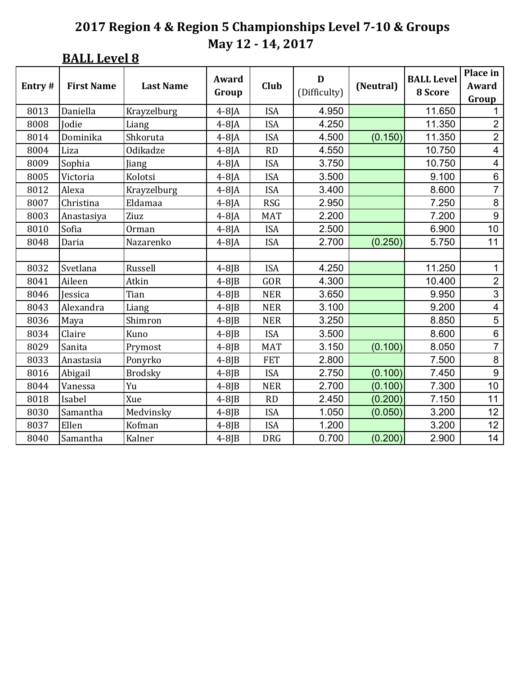**BALL Level 8** 

|        |                   |                  | Award       |             | D            |           | <b>BALL Level</b> | Place in                 |
|--------|-------------------|------------------|-------------|-------------|--------------|-----------|-------------------|--------------------------|
| Entry# | <b>First Name</b> | <b>Last Name</b> | Group       | <b>Club</b> | (Difficulty) | (Neutral) | 8 Score           | Award                    |
|        |                   |                  |             |             |              |           |                   | Group                    |
| 8013   | Daniella          | Krayzelburg      | $4-8$ JA    | <b>ISA</b>  | 4.950        |           | 11.650            | 1                        |
| 8008   | Jodie             | Liang            | $4-8$ JA    | <b>ISA</b>  | 4.250        |           | 11.350            | $\mathbf{2}$             |
| 8014   | Dominika          | Shkoruta         | $4-8$ JA    | <b>ISA</b>  | 4.500        | (0.150)   | 11.350            | $\overline{2}$           |
| 8004   | Liza              | Odikadze         | $4-8$ JA    | <b>RD</b>   | 4.550        |           | 10.750            | $\overline{\mathbf{4}}$  |
| 8009   | Sophia            | Jiang            | $4-8$ JA    | <b>ISA</b>  | 3.750        |           | 10.750            | $\overline{\mathcal{A}}$ |
| 8005   | Victoria          | Kolotsi          | $4-8$ JA    | <b>ISA</b>  | 3.500        |           | 9.100             | $\,6$                    |
| 8012   | Alexa             | Krayzelburg      | $4-8$ JA    | <b>ISA</b>  | 3.400        |           | 8.600             | $\overline{7}$           |
| 8007   | Christina         | Eldamaa          | $4-8$ JA    | <b>RSG</b>  | 2.950        |           | 7.250             | $\bf 8$                  |
| 8003   | Anastasiya        | Ziuz             | $4-8$ JA    | <b>MAT</b>  | 2.200        |           | 7.200             | $9\,$                    |
| 8010   | Sofia             | Orman            | $4-8$ JA    | <b>ISA</b>  | 2.500        |           | 6.900             | 10                       |
| 8048   | Daria             | Nazarenko        | $4-8$ JA    | <b>ISA</b>  | 2.700        | (0.250)   | 5.750             | 11                       |
|        |                   |                  |             |             |              |           |                   |                          |
| 8032   | Svetlana          | Russell          | $4-8$ J $B$ | <b>ISA</b>  | 4.250        |           | 11.250            | 1                        |
| 8041   | Aileen            | Atkin            | $4-8$ J $B$ | GOR         | 4.300        |           | 10.400            | $\overline{2}$           |
| 8046   | Jessica           | Tian             | $4-8$ J $B$ | <b>NER</b>  | 3.650        |           | 9.950             | 3                        |
| 8043   | Alexandra         | <b>Liang</b>     | $4-8$ J $B$ | <b>NER</b>  | 3.100        |           | 9.200             | $\overline{\mathcal{A}}$ |
| 8036   | Maya              | Shimron          | $4-8$ J $B$ | <b>NER</b>  | 3.250        |           | 8.850             | $\overline{5}$           |
| 8034   | Claire            | Kuno             | $4-8$ $B$   | <b>ISA</b>  | 3.500        |           | 8.600             | $\,6$                    |
| 8029   | Sanita            | Prymost          | $4-8$ J $B$ | <b>MAT</b>  | 3.150        | (0.100)   | 8.050             | $\overline{7}$           |
| 8033   | Anastasia         | Ponyrko          | $4-8$ $B$   | <b>FET</b>  | 2.800        |           | 7.500             | $\bf 8$                  |
| 8016   | Abigail           | <b>Brodsky</b>   | $4-8$ J $B$ | <b>ISA</b>  | 2.750        | (0.100)   | 7.450             | 9                        |
| 8044   | Vanessa           | Yu               | $4-8$ J $B$ | <b>NER</b>  | 2.700        | (0.100)   | 7.300             | 10                       |
| 8018   | Isabel            | Xue              | $4-8$ J $B$ | <b>RD</b>   | 2.450        | (0.200)   | 7.150             | 11                       |
| 8030   | Samantha          | Medvinsky        | $4-8$ J $B$ | <b>ISA</b>  | 1.050        | (0.050)   | 3.200             | 12                       |
| 8037   | Ellen             | Kofman           | $4-8$ J $B$ | <b>ISA</b>  | 1.200        |           | 3.200             | 12                       |
| 8040   | Samantha          | Kalner           | $4-8$ J $B$ | <b>DRG</b>  | 0.700        | (0.200)   | 2.900             | 14                       |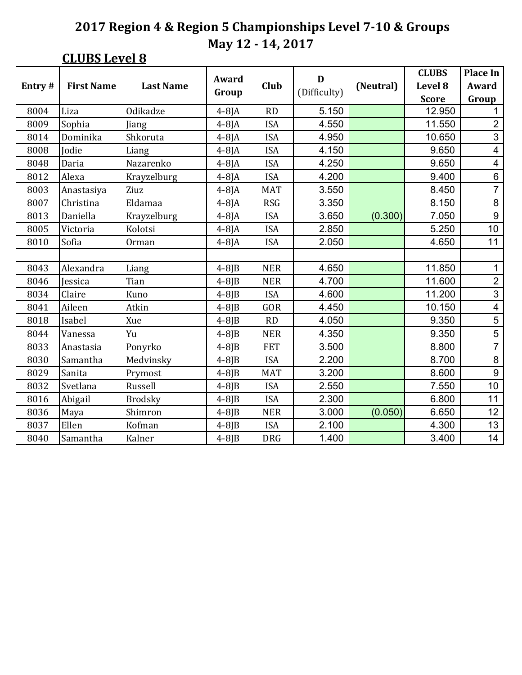### **CLUBS Level 8**

|        |                   | Award            |             | D           |              | <b>CLUBS</b> | <b>Place In</b> |                          |
|--------|-------------------|------------------|-------------|-------------|--------------|--------------|-----------------|--------------------------|
| Entry# | <b>First Name</b> | <b>Last Name</b> |             | <b>Club</b> |              | (Neutral)    | Level 8         | Award                    |
|        |                   |                  | Group       |             | (Difficulty) |              | <b>Score</b>    | Group                    |
| 8004   | Liza              | Odikadze         | $4-8$ $A$   | <b>RD</b>   | 5.150        |              | 12.950          | 1                        |
| 8009   | Sophia            | Jiang            | $4-8$ JA    | <b>ISA</b>  | 4.550        |              | 11.550          | $\mathbf{2}$             |
| 8014   | Dominika          | Shkoruta         | $4-8$ JA    | <b>ISA</b>  | 4.950        |              | 10.650          | $\overline{3}$           |
| 8008   | Jodie             | Liang            | $4-8$ JA    | <b>ISA</b>  | 4.150        |              | 9.650           | $\overline{\mathcal{A}}$ |
| 8048   | Daria             | Nazarenko        | $4-8$ JA    | <b>ISA</b>  | 4.250        |              | 9.650           | 4                        |
| 8012   | Alexa             | Krayzelburg      | $4-8$ JA    | <b>ISA</b>  | 4.200        |              | 9.400           | $\,6\,$                  |
| 8003   | Anastasiya        | Ziuz             | $4-8$ JA    | <b>MAT</b>  | 3.550        |              | 8.450           | $\overline{7}$           |
| 8007   | Christina         | Eldamaa          | $4-8$ JA    | <b>RSG</b>  | 3.350        |              | 8.150           | 8                        |
| 8013   | Daniella          | Krayzelburg      | $4-8$ JA    | <b>ISA</b>  | 3.650        | (0.300)      | 7.050           | $\overline{9}$           |
| 8005   | Victoria          | Kolotsi          | $4-8$ JA    | <b>ISA</b>  | 2.850        |              | 5.250           | 10                       |
| 8010   | Sofia             | Orman            | $4-8$ JA    | <b>ISA</b>  | 2.050        |              | 4.650           | 11                       |
|        |                   |                  |             |             |              |              |                 |                          |
| 8043   | Alexandra         | Liang            | $4-8$ J $B$ | <b>NER</b>  | 4.650        |              | 11.850          | 1                        |
| 8046   | Jessica           | Tian             | $4-8$ J $B$ | <b>NER</b>  | 4.700        |              | 11.600          | $\overline{2}$           |
| 8034   | Claire            | Kuno             | $4-8$ J $B$ | <b>ISA</b>  | 4.600        |              | 11.200          | $\overline{3}$           |
| 8041   | Aileen            | Atkin            | $4-8$ J $B$ | GOR         | 4.450        |              | 10.150          | 4                        |
| 8018   | Isabel            | Xue              | $4-8$ J $B$ | RD          | 4.050        |              | 9.350           | 5                        |
| 8044   | Vanessa           | Yu               | $4-8$ J $B$ | <b>NER</b>  | 4.350        |              | 9.350           | $\overline{5}$           |
| 8033   | Anastasia         | Ponyrko          | $4-8$ J $B$ | <b>FET</b>  | 3.500        |              | 8.800           | $\overline{7}$           |
| 8030   | Samantha          | Medvinsky        | $4-8$ J $B$ | <b>ISA</b>  | 2.200        |              | 8.700           | 8                        |
| 8029   | Sanita            | Prymost          | $4-8$ J $B$ | <b>MAT</b>  | 3.200        |              | 8.600           | 9                        |
| 8032   | Svetlana          | Russell          | $4-8$ J $B$ | <b>ISA</b>  | 2.550        |              | 7.550           | 10                       |
| 8016   | Abigail           | <b>Brodsky</b>   | $4-8$ J $B$ | <b>ISA</b>  | 2.300        |              | 6.800           | 11                       |
| 8036   | Maya              | Shimron          | $4-8$ J $B$ | <b>NER</b>  | 3.000        | (0.050)      | 6.650           | 12                       |
| 8037   | Ellen             | Kofman           | $4-8$ J $B$ | <b>ISA</b>  | 2.100        |              | 4.300           | 13                       |
| 8040   | Samantha          | Kalner           | $4-8$ J $B$ | <b>DRG</b>  | 1.400        |              | 3.400           | 14                       |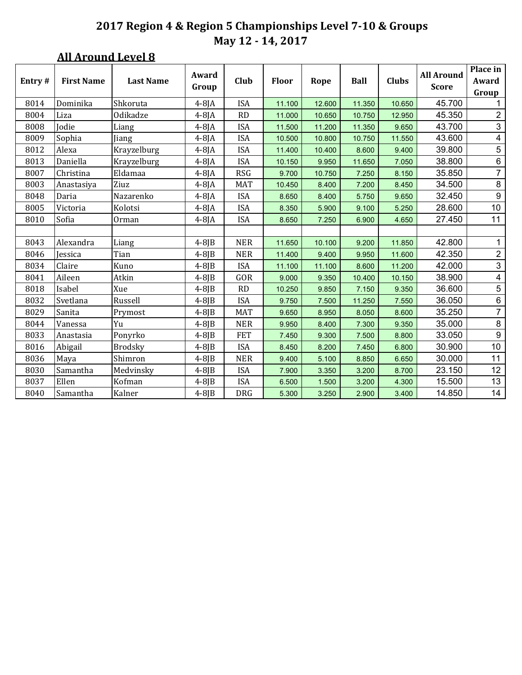### **All Around Level 8**

| Entry# | <b>First Name</b> | <b>Last Name</b> | Award       | Club       | <b>Floor</b> | Rope   | Ball   | <b>Clubs</b> | <b>All Around</b> | Place in<br>Award       |
|--------|-------------------|------------------|-------------|------------|--------------|--------|--------|--------------|-------------------|-------------------------|
|        |                   |                  | Group       |            |              |        |        |              | <b>Score</b>      | Group                   |
| 8014   | Dominika          | Shkoruta         | $4-8$ JA    | <b>ISA</b> | 11.100       | 12.600 | 11.350 | 10.650       | 45.700            | 1.                      |
| 8004   | Liza              | Odikadze         | $4-8$ JA    | <b>RD</b>  | 11.000       | 10.650 | 10.750 | 12.950       | 45.350            | 2                       |
| 8008   | Jodie             | Liang            | $4-8$ JA    | <b>ISA</b> | 11.500       | 11.200 | 11.350 | 9.650        | 43.700            | $\mathfrak{S}$          |
| 8009   | Sophia            | Jiang            | $4-8$ JA    | <b>ISA</b> | 10.500       | 10.800 | 10.750 | 11.550       | 43.600            | $\overline{4}$          |
| 8012   | Alexa             | Krayzelburg      | $4-8$ JA    | <b>ISA</b> | 11.400       | 10.400 | 8.600  | 9.400        | 39.800            | 5                       |
| 8013   | Daniella          | Krayzelburg      | $4-8$ JA    | <b>ISA</b> | 10.150       | 9.950  | 11.650 | 7.050        | 38.800            | $\,6\,$                 |
| 8007   | Christina         | Eldamaa          | $4-8$ JA    | <b>RSG</b> | 9.700        | 10.750 | 7.250  | 8.150        | 35.850            | $\overline{7}$          |
| 8003   | Anastasiya        | Ziuz             | $4-8$ JA    | <b>MAT</b> | 10.450       | 8.400  | 7.200  | 8.450        | 34.500            | $\,8\,$                 |
| 8048   | Daria             | Nazarenko        | $4-8$ JA    | <b>ISA</b> | 8.650        | 8.400  | 5.750  | 9.650        | 32.450            | $\boldsymbol{9}$        |
| 8005   | Victoria          | Kolotsi          | $4-8$ JA    | <b>ISA</b> | 8.350        | 5.900  | 9.100  | 5.250        | 28.600            | 10                      |
| 8010   | Sofia             | Orman            | $4-8$ JA    | <b>ISA</b> | 8.650        | 7.250  | 6.900  | 4.650        | 27.450            | 11                      |
|        |                   |                  |             |            |              |        |        |              |                   |                         |
| 8043   | Alexandra         | Liang            | $4-8$ J $B$ | <b>NER</b> | 11.650       | 10.100 | 9.200  | 11.850       | 42.800            | $\mathbf{1}$            |
| 8046   | Jessica           | Tian             | $4-8$ J $B$ | <b>NER</b> | 11.400       | 9.400  | 9.950  | 11.600       | 42.350            | $\overline{2}$          |
| 8034   | Claire            | Kuno             | $4-8$ JB    | <b>ISA</b> | 11.100       | 11.100 | 8.600  | 11.200       | 42.000            | $\mathfrak{S}$          |
| 8041   | Aileen            | Atkin            | $4-8$ J $B$ | GOR        | 9.000        | 9.350  | 10.400 | 10.150       | 38.900            | $\overline{\mathbf{4}}$ |
| 8018   | Isabel            | Xue              | $4-8$ J $B$ | RD         | 10.250       | 9.850  | 7.150  | 9.350        | 36.600            | $\sqrt{5}$              |
| 8032   | Svetlana          | Russell          | $4-8$ $B$   | <b>ISA</b> | 9.750        | 7.500  | 11.250 | 7.550        | 36.050            | $\,6\,$                 |
| 8029   | Sanita            | Prymost          | $4-8$ JB    | <b>MAT</b> | 9.650        | 8.950  | 8.050  | 8.600        | 35.250            | $\overline{7}$          |
| 8044   | Vanessa           | Yu               | $4-8$ JB    | <b>NER</b> | 9.950        | 8.400  | 7.300  | 9.350        | 35.000            | $\,8\,$                 |
| 8033   | Anastasia         | Ponyrko          | $4-8$ JB    | <b>FET</b> | 7.450        | 9.300  | 7.500  | 8.800        | 33.050            | $\boldsymbol{9}$        |
| 8016   | Abigail           | <b>Brodsky</b>   | $4-8$ J $B$ | <b>ISA</b> | 8.450        | 8.200  | 7.450  | 6.800        | 30.900            | 10                      |
| 8036   | Maya              | Shimron          | $4-8$ JB    | <b>NER</b> | 9.400        | 5.100  | 8.850  | 6.650        | 30.000            | 11                      |
| 8030   | Samantha          | Medvinsky        | $4-8$ JB    | <b>ISA</b> | 7.900        | 3.350  | 3.200  | 8.700        | 23.150            | 12                      |
| 8037   | Ellen             | Kofman           | $4-8$ J $B$ | <b>ISA</b> | 6.500        | 1.500  | 3.200  | 4.300        | 15.500            | 13                      |
| 8040   | Samantha          | Kalner           | $4-8$ J $B$ | <b>DRG</b> | 5.300        | 3.250  | 2.900  | 3.400        | 14.850            | 14                      |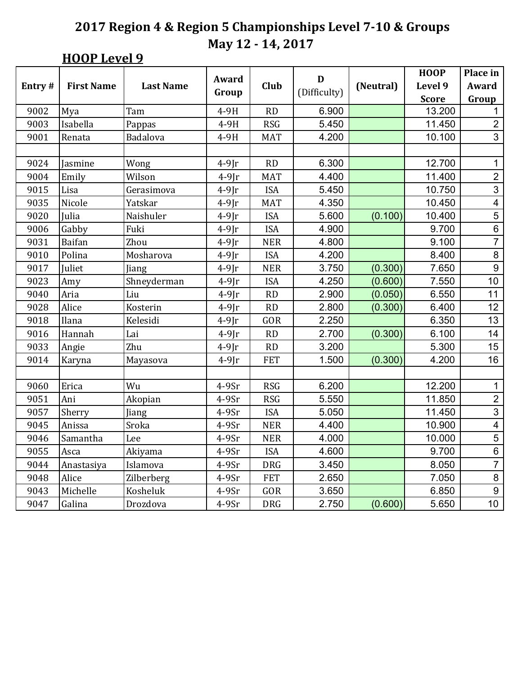### **HOOP** Level 9

|        |                   |                  |                |            | D            |           | <b>HOOP</b>  | Place in                |
|--------|-------------------|------------------|----------------|------------|--------------|-----------|--------------|-------------------------|
| Entry# | <b>First Name</b> | <b>Last Name</b> | Award          | Club       | (Difficulty) | (Neutral) | Level 9      | Award                   |
|        |                   |                  | Group          |            |              |           | <b>Score</b> | Group                   |
| 9002   | Mya               | Tam              | 4-9H           | RD         | 6.900        |           | 13.200       | 1                       |
| 9003   | Isabella          | Pappas           | 4-9H           | <b>RSG</b> | 5.450        |           | 11.450       | $\overline{2}$          |
| 9001   | Renata            | Badalova         | 4-9H           | <b>MAT</b> | 4.200        |           | 10.100       | $\overline{3}$          |
|        |                   |                  |                |            |              |           |              |                         |
| 9024   | Jasmine           | Wong             | $4-9$ Jr       | RD         | 6.300        |           | 12.700       | $\mathbf 1$             |
| 9004   | Emily             | Wilson           | $4-9$ Jr       | <b>MAT</b> | 4.400        |           | 11.400       | $\overline{2}$          |
| 9015   | Lisa              | Gerasimova       | $4-9$ $\Gamma$ | <b>ISA</b> | 5.450        |           | 10.750       | 3                       |
| 9035   | Nicole            | Yatskar          | $4-9$ $\Gamma$ | <b>MAT</b> | 4.350        |           | 10.450       | $\overline{\mathbf{4}}$ |
| 9020   | Julia             | Naishuler        | $4-9$ Jr       | <b>ISA</b> | 5.600        | (0.100)   | 10.400       | $\overline{5}$          |
| 9006   | Gabby             | Fuki             | $4-9$ $\Gamma$ | <b>ISA</b> | 4.900        |           | 9.700        | $\overline{6}$          |
| 9031   | <b>Baifan</b>     | Zhou             | $4-9$ Jr       | <b>NER</b> | 4.800        |           | 9.100        | $\overline{7}$          |
| 9010   | Polina            | Mosharova        | $4-9$ Jr       | <b>ISA</b> | 4.200        |           | 8.400        | 8                       |
| 9017   | Juliet            | Jiang            | $4-9$ $\Gamma$ | <b>NER</b> | 3.750        | (0.300)   | 7.650        | $\boldsymbol{9}$        |
| 9023   | Amy               | Shneyderman      | $4-9$ $\Gamma$ | <b>ISA</b> | 4.250        | (0.600)   | 7.550        | 10                      |
| 9040   | Aria              | Liu              | $4-9$ Jr       | RD         | 2.900        | (0.050)   | 6.550        | 11                      |
| 9028   | Alice             | Kosterin         | $4-9$ $\Gamma$ | RD         | 2.800        | (0.300)   | 6.400        | 12                      |
| 9018   | Ilana             | Kelesidi         | $4-9$ $\Gamma$ | GOR        | 2.250        |           | 6.350        | 13                      |
| 9016   | Hannah            | Lai              | $4-9$ Jr       | RD         | 2.700        | (0.300)   | 6.100        | 14                      |
| 9033   | Angie             | Zhu              | $4-9$ $\Gamma$ | RD         | 3.200        |           | 5.300        | 15                      |
| 9014   | Karyna            | Mayasova         | $4-9$ $\Gamma$ | <b>FET</b> | 1.500        | (0.300)   | 4.200        | 16                      |
|        |                   |                  |                |            |              |           |              |                         |
| 9060   | Erica             | Wu               | 4-9Sr          | <b>RSG</b> | 6.200        |           | 12.200       | 1                       |
| 9051   | Ani               | Akopian          | $4-9Sr$        | <b>RSG</b> | 5.550        |           | 11.850       | $\overline{2}$          |
| 9057   | Sherry            | Jiang            | 4-9Sr          | <b>ISA</b> | 5.050        |           | 11.450       | $\overline{3}$          |
| 9045   | Anissa            | Sroka            | 4-9Sr          | <b>NER</b> | 4.400        |           | 10.900       | $\overline{\mathbf{4}}$ |
| 9046   | Samantha          | Lee              | $4-9Sr$        | <b>NER</b> | 4.000        |           | 10.000       | 5                       |
| 9055   | Asca              | Akiyama          | $4-9Sr$        | <b>ISA</b> | 4.600        |           | 9.700        | $\,6\,$                 |
| 9044   | Anastasiya        | Islamova         | 4-9Sr          | <b>DRG</b> | 3.450        |           | 8.050        | $\overline{7}$          |
| 9048   | Alice             | Zilberberg       | $4-9Sr$        | <b>FET</b> | 2.650        |           | 7.050        | $\bf 8$                 |
| 9043   | Michelle          | Kosheluk         | $4-9Sr$        | GOR        | 3.650        |           | 6.850        | $\overline{9}$          |
| 9047   | Galina            | Drozdova         | $4-9Sr$        | <b>DRG</b> | 2.750        | (0.600)   | 5.650        | 10                      |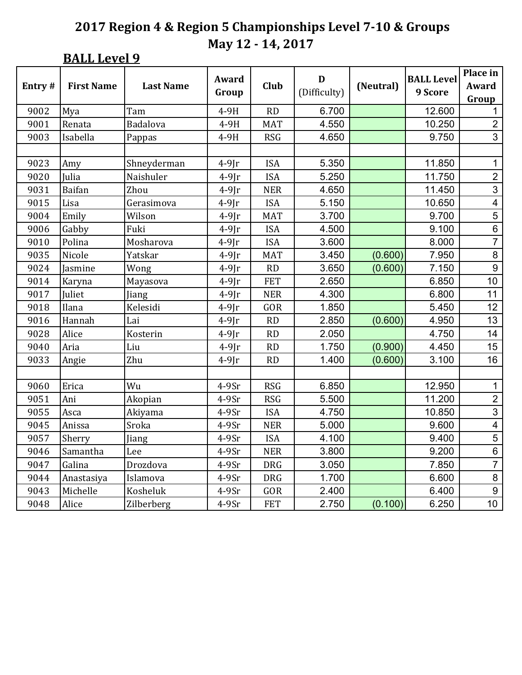**BALL Level 9** 

|        |                   |                  |                |            | D            |           | <b>BALL Level</b> | Place in                |
|--------|-------------------|------------------|----------------|------------|--------------|-----------|-------------------|-------------------------|
| Entry# | <b>First Name</b> | <b>Last Name</b> | Award          | Club       | (Difficulty) | (Neutral) | 9 Score           | Award                   |
|        |                   |                  | Group          |            |              |           |                   | Group                   |
| 9002   | Mya               | Tam              | 4-9H           | RD         | 6.700        |           | 12.600            | 1                       |
| 9001   | Renata            | Badalova         | 4-9H           | <b>MAT</b> | 4.550        |           | 10.250            | $\overline{2}$          |
| 9003   | Isabella          | Pappas           | 4-9H           | <b>RSG</b> | 4.650        |           | 9.750             | 3                       |
|        |                   |                  |                |            |              |           |                   |                         |
| 9023   | Amy               | Shneyderman      | $4-9$ Jr       | <b>ISA</b> | 5.350        |           | 11.850            | 1                       |
| 9020   | Julia             | Naishuler        | $4-9$ $\Gamma$ | <b>ISA</b> | 5.250        |           | 11.750            | $\overline{2}$          |
| 9031   | <b>Baifan</b>     | Zhou             | $4-9$ Jr       | <b>NER</b> | 4.650        |           | 11.450            | 3                       |
| 9015   | Lisa              | Gerasimova       | $4-9$ $\Gamma$ | <b>ISA</b> | 5.150        |           | 10.650            | $\overline{\mathbf{4}}$ |
| 9004   | Emily             | Wilson           | $4-9$ Jr       | <b>MAT</b> | 3.700        |           | 9.700             | $\overline{5}$          |
| 9006   | Gabby             | Fuki             | $4-9$ Jr       | <b>ISA</b> | 4.500        |           | 9.100             | $\overline{6}$          |
| 9010   | Polina            | Mosharova        | $4-9$ $\Gamma$ | <b>ISA</b> | 3.600        |           | 8.000             | $\overline{7}$          |
| 9035   | Nicole            | Yatskar          | $4-9$ $\Gamma$ | <b>MAT</b> | 3.450        | (0.600)   | 7.950             | 8                       |
| 9024   | Jasmine           | Wong             | $4-9$ Jr       | RD         | 3.650        | (0.600)   | 7.150             | $\boldsymbol{9}$        |
| 9014   | Karyna            | Mayasova         | $4-9$ Jr       | <b>FET</b> | 2.650        |           | 6.850             | 10                      |
| 9017   | Juliet            | Jiang            | $4-9$ Jr       | <b>NER</b> | 4.300        |           | 6.800             | 11                      |
| 9018   | Ilana             | Kelesidi         | $4-9$ $\Gamma$ | GOR        | 1.850        |           | 5.450             | 12                      |
| 9016   | Hannah            | Lai              | $4-9[r]$       | RD         | 2.850        | (0.600)   | 4.950             | 13                      |
| 9028   | Alice             | Kosterin         | $4-9$ $\Gamma$ | RD         | 2.050        |           | 4.750             | 14                      |
| 9040   | Aria              | Liu              | $4-9$ Jr       | RD         | 1.750        | (0.900)   | 4.450             | 15                      |
| 9033   | Angie             | Zhu              | $4-9$ $\Gamma$ | RD         | 1.400        | (0.600)   | 3.100             | 16                      |
|        |                   |                  |                |            |              |           |                   |                         |
| 9060   | Erica             | Wu               | $4-9Sr$        | <b>RSG</b> | 6.850        |           | 12.950            | 1                       |
| 9051   | Ani               | Akopian          | 4-9Sr          | <b>RSG</b> | 5.500        |           | 11.200            | $\overline{c}$          |
| 9055   | Asca              | Akiyama          | $4-9Sr$        | <b>ISA</b> | 4.750        |           | 10.850            | $\overline{3}$          |
| 9045   | Anissa            | Sroka            | $4-9Sr$        | <b>NER</b> | 5.000        |           | 9.600             | $\overline{\mathbf{4}}$ |
| 9057   | Sherry            | Jiang            | $4-9Sr$        | <b>ISA</b> | 4.100        |           | 9.400             | $\overline{5}$          |
| 9046   | Samantha          | Lee              | $4-9Sr$        | <b>NER</b> | 3.800        |           | 9.200             | $\,6$                   |
| 9047   | Galina            | Drozdova         | 4-9Sr          | <b>DRG</b> | 3.050        |           | 7.850             | $\overline{7}$          |
| 9044   | Anastasiya        | Islamova         | $4-9Sr$        | <b>DRG</b> | 1.700        |           | 6.600             | 8                       |
| 9043   | Michelle          | Kosheluk         | $4-9Sr$        | GOR        | 2.400        |           | 6.400             | $\boldsymbol{9}$        |
| 9048   | Alice             | Zilberberg       | $4-9Sr$        | <b>FET</b> | 2.750        | (0.100)   | 6.250             | 10                      |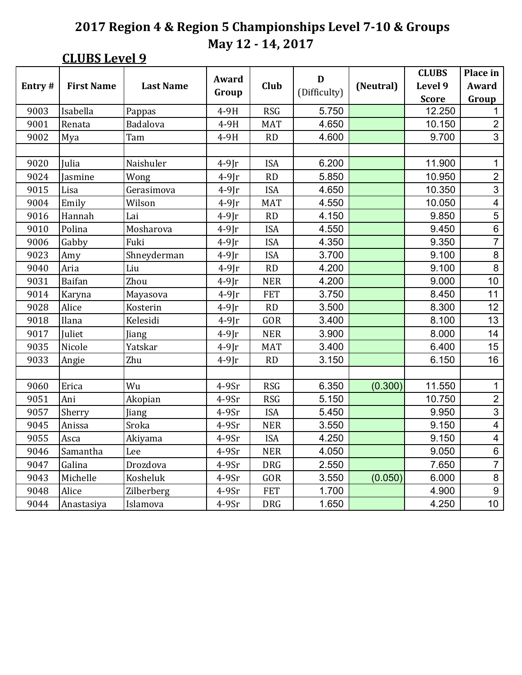### **CLUBS Level 9**

|        |                   |                  | Award          |            | D            |           | <b>CLUBS</b> | Place in                 |
|--------|-------------------|------------------|----------------|------------|--------------|-----------|--------------|--------------------------|
| Entry# | <b>First Name</b> | <b>Last Name</b> |                | Club       | (Difficulty) | (Neutral) | Level 9      | Award                    |
|        |                   |                  | Group          |            |              |           | <b>Score</b> | Group                    |
| 9003   | Isabella          | Pappas           | 4-9H           | <b>RSG</b> | 5.750        |           | 12.250       | 1                        |
| 9001   | Renata            | Badalova         | 4-9H           | <b>MAT</b> | 4.650        |           | 10.150       | $\overline{2}$           |
| 9002   | Mya               | Tam              | 4-9H           | <b>RD</b>  | 4.600        |           | 9.700        | $\overline{3}$           |
|        |                   |                  |                |            |              |           |              |                          |
| 9020   | Julia             | Naishuler        | $4-9$ $\Gamma$ | <b>ISA</b> | 6.200        |           | 11.900       | 1                        |
| 9024   | Jasmine           | Wong             | $4-9$ $\Gamma$ | RD         | 5.850        |           | 10.950       | $\overline{2}$           |
| 9015   | Lisa              | Gerasimova       | $4-9$ Jr       | <b>ISA</b> | 4.650        |           | 10.350       | $\overline{3}$           |
| 9004   | Emily             | Wilson           | $4-9$ $\Gamma$ | <b>MAT</b> | 4.550        |           | 10.050       | $\overline{\mathbf{4}}$  |
| 9016   | Hannah            | Lai              | $4-9[r]$       | RD         | 4.150        |           | 9.850        | $\overline{5}$           |
| 9010   | Polina            | Mosharova        | $4-9$ Jr       | <b>ISA</b> | 4.550        |           | 9.450        | $\overline{6}$           |
| 9006   | Gabby             | Fuki             | $4-9$ Jr       | <b>ISA</b> | 4.350        |           | 9.350        | $\overline{7}$           |
| 9023   | Amy               | Shneyderman      | $4-9$ $\Gamma$ | <b>ISA</b> | 3.700        |           | 9.100        | 8                        |
| 9040   | Aria              | Liu              | $4-9$ Jr       | RD         | 4.200        |           | 9.100        | $\,8\,$                  |
| 9031   | Baifan            | Zhou             | $4-9$ Jr       | <b>NER</b> | 4.200        |           | 9.000        | 10                       |
| 9014   | Karyna            | Mayasova         | $4-9$ Jr       | <b>FET</b> | 3.750        |           | 8.450        | 11                       |
| 9028   | Alice             | Kosterin         | $4-9$ $\Gamma$ | RD         | 3.500        |           | 8.300        | 12                       |
| 9018   | Ilana             | Kelesidi         | $4-9$ Jr       | GOR        | 3.400        |           | 8.100        | 13                       |
| 9017   | Juliet            | Jiang            | $4-9$ Jr       | <b>NER</b> | 3.900        |           | 8.000        | 14                       |
| 9035   | Nicole            | Yatskar          | $4-9$ $\Gamma$ | <b>MAT</b> | 3.400        |           | 6.400        | 15                       |
| 9033   | Angie             | Zhu              | $4-9$ $\Gamma$ | RD         | 3.150        |           | 6.150        | 16                       |
|        |                   |                  |                |            |              |           |              |                          |
| 9060   | Erica             | Wu               | $4-9Sr$        | <b>RSG</b> | 6.350        | (0.300)   | 11.550       | $\mathbf 1$              |
| 9051   | Ani               | Akopian          | 4-9Sr          | <b>RSG</b> | 5.150        |           | 10.750       | $\overline{2}$           |
| 9057   | Sherry            | Jiang            | $4-9Sr$        | <b>ISA</b> | 5.450        |           | 9.950        | $\overline{3}$           |
| 9045   | Anissa            | Sroka            | $4-9Sr$        | <b>NER</b> | 3.550        |           | 9.150        | $\overline{\mathcal{A}}$ |
| 9055   | Asca              | Akiyama          | $4-9Sr$        | <b>ISA</b> | 4.250        |           | 9.150        | $\overline{\mathbf{4}}$  |
| 9046   | Samantha          | Lee              | $4-9Sr$        | <b>NER</b> | 4.050        |           | 9.050        | $\,6$                    |
| 9047   | Galina            | Drozdova         | $4-9Sr$        | <b>DRG</b> | 2.550        |           | 7.650        | $\overline{7}$           |
| 9043   | Michelle          | Kosheluk         | $4-9Sr$        | GOR        | 3.550        | (0.050)   | 6.000        | $\bf 8$                  |
| 9048   | Alice             | Zilberberg       | $4-9Sr$        | <b>FET</b> | 1.700        |           | 4.900        | $\boldsymbol{9}$         |
| 9044   | Anastasiya        | Islamova         | $4-9Sr$        | <b>DRG</b> | 1.650        |           | 4.250        | 10                       |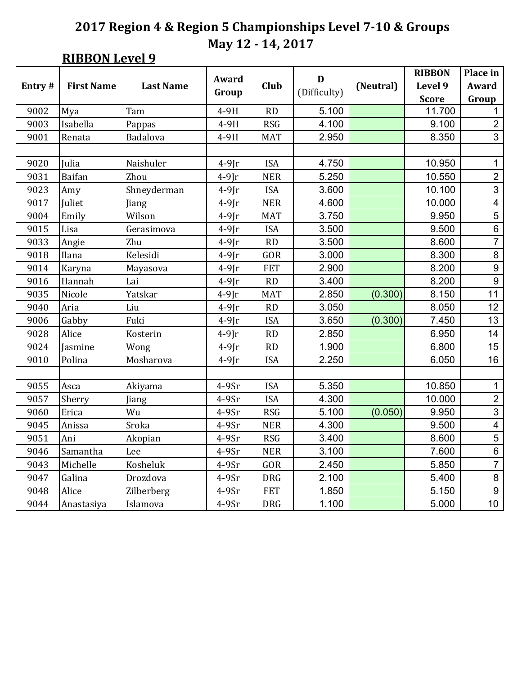## **RIBBON Level 9**

|        |                   |                  | Award          |            | $\mathbf D$  |           | <b>RIBBON</b> | Place in         |
|--------|-------------------|------------------|----------------|------------|--------------|-----------|---------------|------------------|
| Entry# | <b>First Name</b> | <b>Last Name</b> |                | Club       | (Difficulty) | (Neutral) | Level 9       | <b>Award</b>     |
|        |                   |                  | Group          |            |              |           | <b>Score</b>  | Group            |
| 9002   | Mya               | Tam              | $4-9H$         | <b>RD</b>  | 5.100        |           | 11.700        | 1                |
| 9003   | Isabella          | Pappas           | 4-9H           | <b>RSG</b> | 4.100        |           | 9.100         | $\overline{2}$   |
| 9001   | Renata            | Badalova         | 4-9H           | <b>MAT</b> | 2.950        |           | 8.350         | 3                |
|        |                   |                  |                |            |              |           |               |                  |
| 9020   | Julia             | Naishuler        | $4-9$ $\Gamma$ | <b>ISA</b> | 4.750        |           | 10.950        | $\mathbf 1$      |
| 9031   | Baifan            | Zhou             | $4-9$ Jr       | <b>NER</b> | 5.250        |           | 10.550        | $\overline{2}$   |
| 9023   | Amy               | Shneyderman      | $4-9$ $\Gamma$ | <b>ISA</b> | 3.600        |           | 10.100        | $\overline{3}$   |
| 9017   | Juliet            | Jiang            | $4-9$ $\Gamma$ | <b>NER</b> | 4.600        |           | 10.000        | 4                |
| 9004   | Emily             | Wilson           | $4-9$ Jr       | <b>MAT</b> | 3.750        |           | 9.950         | $\overline{5}$   |
| 9015   | Lisa              | Gerasimova       | $4-9$ $\Gamma$ | <b>ISA</b> | 3.500        |           | 9.500         | $\overline{6}$   |
| 9033   | Angie             | Zhu              | $4-9$ Jr       | RD         | 3.500        |           | 8.600         | $\overline{7}$   |
| 9018   | Ilana             | Kelesidi         | $4-9$ Jr       | GOR        | 3.000        |           | 8.300         | 8                |
| 9014   | Karyna            | Mayasova         | $4-9$ $\Gamma$ | <b>FET</b> | 2.900        |           | 8.200         | $\boldsymbol{9}$ |
| 9016   | Hannah            | Lai              | $4-9$ Jr       | RD         | 3.400        |           | 8.200         | $\overline{9}$   |
| 9035   | Nicole            | Yatskar          | $4-9$ $\Gamma$ | <b>MAT</b> | 2.850        | (0.300)   | 8.150         | 11               |
| 9040   | Aria              | Liu              | $4-9$ $\Gamma$ | RD         | 3.050        |           | 8.050         | 12               |
| 9006   | Gabby             | Fuki             | $4-9$ Jr       | <b>ISA</b> | 3.650        | (0.300)   | 7.450         | 13               |
| 9028   | Alice             | Kosterin         | $4-9$ Jr       | RD         | 2.850        |           | 6.950         | 14               |
| 9024   | Jasmine           | Wong             | $4-9$ Jr       | RD         | 1.900        |           | 6.800         | 15               |
| 9010   | Polina            | Mosharova        | $4-9$ Jr       | <b>ISA</b> | 2.250        |           | 6.050         | 16               |
|        |                   |                  |                |            |              |           |               |                  |
| 9055   | Asca              | Akiyama          | $4-9Sr$        | <b>ISA</b> | 5.350        |           | 10.850        | $\mathbf 1$      |
| 9057   | Sherry            | Jiang            | 4-9Sr          | <b>ISA</b> | 4.300        |           | 10.000        | $\overline{c}$   |
| 9060   | Erica             | Wu               | $4-9Sr$        | <b>RSG</b> | 5.100        | (0.050)   | 9.950         | $\overline{3}$   |
| 9045   | Anissa            | Sroka            | $4-9Sr$        | <b>NER</b> | 4.300        |           | 9.500         | 4                |
| 9051   | Ani               | Akopian          | 4-9Sr          | <b>RSG</b> | 3.400        |           | 8.600         | $\overline{5}$   |
| 9046   | Samantha          | Lee              | $4-9Sr$        | <b>NER</b> | 3.100        |           | 7.600         | $\,6$            |
| 9043   | Michelle          | Kosheluk         | $4-9Sr$        | GOR        | 2.450        |           | 5.850         | $\overline{7}$   |
| 9047   | Galina            | Drozdova         | $4-9Sr$        | <b>DRG</b> | 2.100        |           | 5.400         | $\bf 8$          |
| 9048   | Alice             | Zilberberg       | $4-9Sr$        | <b>FET</b> | 1.850        |           | 5.150         | $\boldsymbol{9}$ |
| 9044   | Anastasiya        | Islamova         | 4-9Sr          | <b>DRG</b> | 1.100        |           | 5.000         | 10               |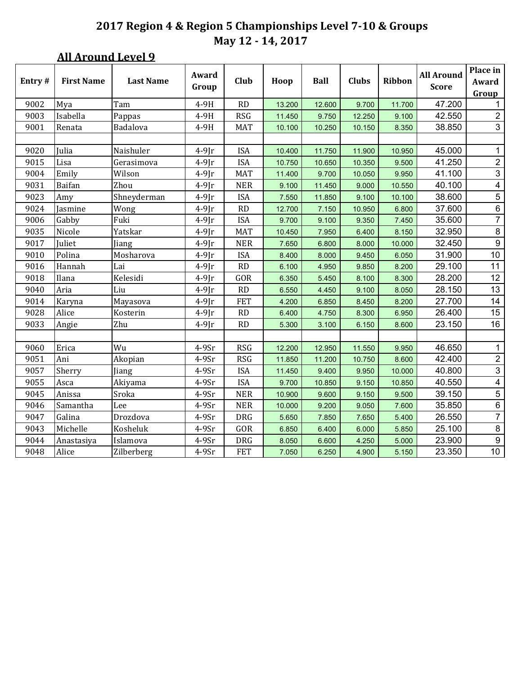### **All Around Level 9**

| Entry# | <b>First Name</b> | <b>Last Name</b> | Award<br>Group | Club       | Hoop   | <b>Ball</b> | <b>Clubs</b> | <b>Ribbon</b> | <b>All Around</b><br><b>Score</b> | Place in<br>Award<br>Group |
|--------|-------------------|------------------|----------------|------------|--------|-------------|--------------|---------------|-----------------------------------|----------------------------|
| 9002   | Mya               | Tam              | 4-9H           | <b>RD</b>  | 13.200 | 12.600      | 9.700        | 11.700        | 47.200                            | $\mathbf{1}$               |
| 9003   | Isabella          | Pappas           | 4-9H           | <b>RSG</b> | 11.450 | 9.750       | 12.250       | 9.100         | 42.550                            | $\overline{2}$             |
| 9001   | Renata            | Badalova         | 4-9H           | MAT        | 10.100 | 10.250      | 10.150       | 8.350         | 38.850                            | $\mathbf{3}$               |
|        |                   |                  |                |            |        |             |              |               |                                   |                            |
| 9020   | Julia             | Naishuler        | $4-9$ Jr       | <b>ISA</b> | 10.400 | 11.750      | 11.900       | 10.950        | 45.000                            | $\mathbf{1}$               |
| 9015   | Lisa              | Gerasimova       | $4-9$ $\Gamma$ | <b>ISA</b> | 10.750 | 10.650      | 10.350       | 9.500         | 41.250                            | $\sqrt{2}$                 |
| 9004   | Emily             | Wilson           | $4-9$ Jr       | <b>MAT</b> | 11.400 | 9.700       | 10.050       | 9.950         | 41.100                            | 3                          |
| 9031   | Baifan            | Zhou             | $4-9$ Jr       | <b>NER</b> | 9.100  | 11.450      | 9.000        | 10.550        | 40.100                            | $\overline{4}$             |
| 9023   | Amy               | Shneyderman      | $4-9$ Jr       | <b>ISA</b> | 7.550  | 11.850      | 9.100        | 10.100        | 38.600                            | 5                          |
| 9024   | Jasmine           | Wong             | $4-9[r]$       | <b>RD</b>  | 12.700 | 7.150       | 10.950       | 6.800         | 37.600                            | $6 \overline{}$            |
| 9006   | Gabby             | Fuki             | $4-9$ Jr       | <b>ISA</b> | 9.700  | 9.100       | 9.350        | 7.450         | 35.600                            | $\overline{7}$             |
| 9035   | Nicole            | Yatskar          | $4-9$ Jr       | <b>MAT</b> | 10.450 | 7.950       | 6.400        | 8.150         | 32.950                            | $\,8\,$                    |
| 9017   | Juliet            | Jiang            | $4-9$ Jr       | <b>NER</b> | 7.650  | 6.800       | 8.000        | 10.000        | 32.450                            | $9\,$                      |
| 9010   | Polina            | Mosharova        | $4-9$ $\Gamma$ | <b>ISA</b> | 8.400  | 8.000       | 9.450        | 6.050         | 31.900                            | 10                         |
| 9016   | Hannah            | Lai              | $4-9[r]$       | <b>RD</b>  | 6.100  | 4.950       | 9.850        | 8.200         | 29.100                            | 11                         |
| 9018   | Ilana             | Kelesidi         | $4-9$ Jr       | GOR        | 6.350  | 5.450       | 8.100        | 8.300         | 28.200                            | 12                         |
| 9040   | Aria              | Liu              | $4-9$ Jr       | RD         | 6.550  | 4.450       | 9.100        | 8.050         | 28.150                            | 13                         |
| 9014   | Karyna            | Mayasova         | $4-9$ Jr       | <b>FET</b> | 4.200  | 6.850       | 8.450        | 8.200         | 27.700                            | 14                         |
| 9028   | Alice             | Kosterin         | $4-9$ Jr       | RD         | 6.400  | 4.750       | 8.300        | 6.950         | 26.400                            | 15                         |
| 9033   | Angie             | Zhu              | $4-9$ Jr       | RD         | 5.300  | 3.100       | 6.150        | 8.600         | 23.150                            | 16                         |
|        |                   |                  |                |            |        |             |              |               |                                   |                            |
| 9060   | Erica             | Wu               | $4-9Sr$        | <b>RSG</b> | 12.200 | 12.950      | 11.550       | 9.950         | 46.650                            | $\mathbf{1}$               |
| 9051   | Ani               | Akopian          | $4-9Sr$        | <b>RSG</b> | 11.850 | 11.200      | 10.750       | 8.600         | 42.400                            | $\overline{2}$             |
| 9057   | Sherry            | Jiang            | $4-9Sr$        | <b>ISA</b> | 11.450 | 9.400       | 9.950        | 10.000        | 40.800                            | $\mathfrak{S}$             |
| 9055   | Asca              | Akiyama          | $4-9Sr$        | <b>ISA</b> | 9.700  | 10.850      | 9.150        | 10.850        | 40.550                            | $\overline{4}$             |
| 9045   | Anissa            | Sroka            | $4-9Sr$        | <b>NER</b> | 10.900 | 9.600       | 9.150        | 9.500         | 39.150                            | $\,$ 5 $\,$                |
| 9046   | Samantha          | Lee              | $4-9Sr$        | <b>NER</b> | 10.000 | 9.200       | 9.050        | 7.600         | 35.850                            | $\overline{6}$             |
| 9047   | Galina            | Drozdova         | $4-9Sr$        | <b>DRG</b> | 5.650  | 7.850       | 7.650        | 5.400         | 26.550                            | $\overline{7}$             |
| 9043   | Michelle          | Kosheluk         | $4-9Sr$        | GOR        | 6.850  | 6.400       | 6.000        | 5.850         | 25.100                            | $\bf 8$                    |
| 9044   | Anastasiya        | Islamova         | $4-9Sr$        | <b>DRG</b> | 8.050  | 6.600       | 4.250        | 5.000         | 23.900                            | $\boldsymbol{9}$           |
| 9048   | Alice             | Zilberberg       | $4-9Sr$        | <b>FET</b> | 7.050  | 6.250       | 4.900        | 5.150         | 23.350                            | 10                         |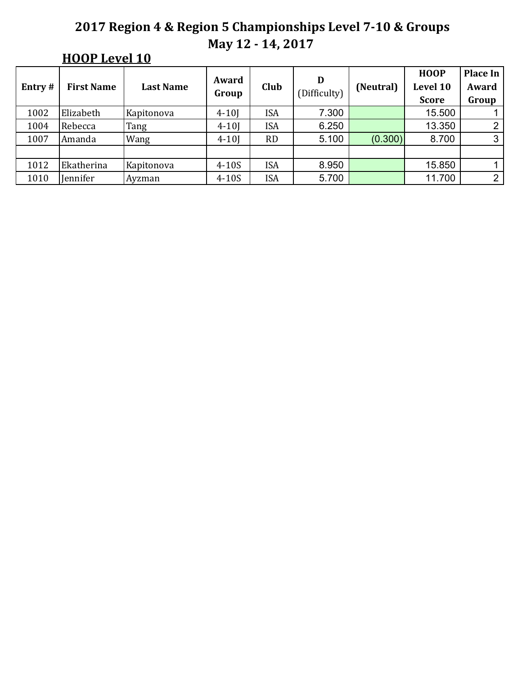# **HOOP** Level 10

| Entry# | <b>First Name</b> | <b>Last Name</b> | Award<br>Group | Club       | D<br>(Difficulty) | (Neutral) | <b>HOOP</b><br>Level 10<br><b>Score</b> | Place In<br>Award<br>Group |
|--------|-------------------|------------------|----------------|------------|-------------------|-----------|-----------------------------------------|----------------------------|
| 1002   | Elizabeth         | Kapitonova       | $4 - 10$       | ISA        | 7.300             |           | 15.500                                  |                            |
| 1004   | Rebecca           | Tang             | $4 - 10$       | <b>ISA</b> | 6.250             |           | 13.350                                  | っ                          |
| 1007   | Amanda            | Wang             | $4 - 10$       | <b>RD</b>  | 5.100             | (0.300)   | 8.700                                   | 3                          |
|        |                   |                  |                |            |                   |           |                                         |                            |
| 1012   | Ekatherina        | Kapitonova       | $4-10S$        | <b>ISA</b> | 8.950             |           | 15.850                                  |                            |
| 1010   | Jennifer          | Ayzman           | $4-10S$        | ISA        | 5.700             |           | 11.700                                  | 2                          |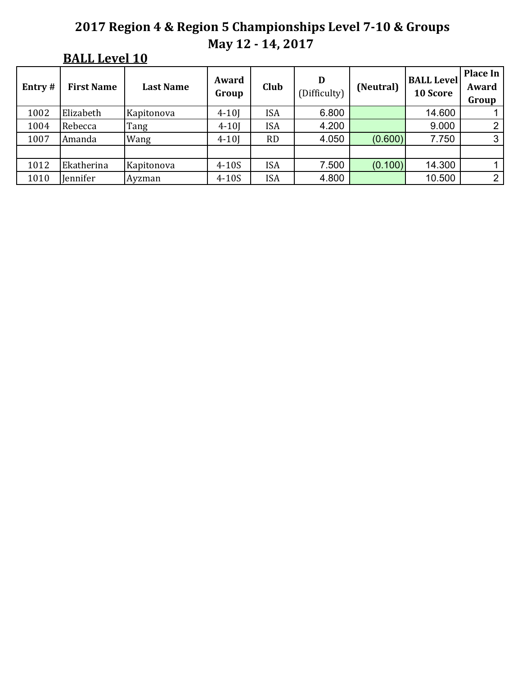# **BALL Level 10**

| Entry# | <b>First Name</b> | <b>Last Name</b> | Award<br>Group | Club       | D<br>(Difficulty) | (Neutral) | <b>BALL Level</b><br>10 Score | Place In<br>Award<br>Group |
|--------|-------------------|------------------|----------------|------------|-------------------|-----------|-------------------------------|----------------------------|
| 1002   | Elizabeth         | Kapitonova       | $4 - 10$       | <b>ISA</b> | 6.800             |           | 14.600                        |                            |
| 1004   | Rebecca           | Tang             | $4 - 10$       | <b>ISA</b> | 4.200             |           | 9.000                         | ⌒                          |
| 1007   | Amanda            | Wang             | $4 - 10$       | <b>RD</b>  | 4.050             | (0.600)   | 7.750                         | 3                          |
|        |                   |                  |                |            |                   |           |                               |                            |
| 1012   | Ekatherina        | Kapitonova       | $4-10S$        | <b>ISA</b> | 7.500             | (0.100)   | 14.300                        |                            |
| 1010   | Jennifer          | Ayzman           | $4-10S$        | <b>ISA</b> | 4.800             |           | 10.500                        | 2                          |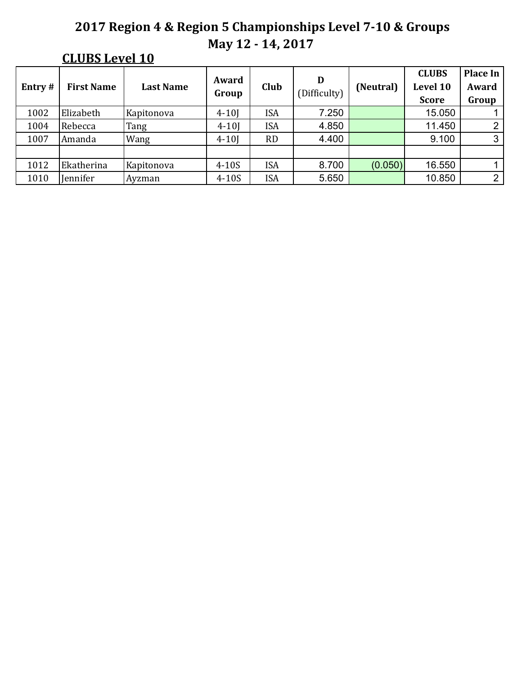## **CLUBS Level 10**

| Entry# | <b>First Name</b> | <b>Last Name</b> | Award<br>Group | Club       | D<br>(Difficulty) | (Neutral) | <b>CLUBS</b><br>Level 10<br><b>Score</b> | Place In<br>Award<br>Group |
|--------|-------------------|------------------|----------------|------------|-------------------|-----------|------------------------------------------|----------------------------|
| 1002   | Elizabeth         | Kapitonova       | $4 - 10$       | ISA        | 7.250             |           | 15.050                                   |                            |
| 1004   | Rebecca           | Tang             | $4 - 10$       | <b>ISA</b> | 4.850             |           | 11.450                                   | 2                          |
| 1007   | Amanda            | Wang             | $4 - 10$       | <b>RD</b>  | 4.400             |           | 9.100                                    | 3                          |
|        |                   |                  |                |            |                   |           |                                          |                            |
| 1012   | Ekatherina        | Kapitonova       | $4-10S$        | <b>ISA</b> | 8.700             | (0.050)   | 16.550                                   |                            |
| 1010   | Jennifer          | Ayzman           | $4-10S$        | <b>ISA</b> | 5.650             |           | 10.850                                   | 2                          |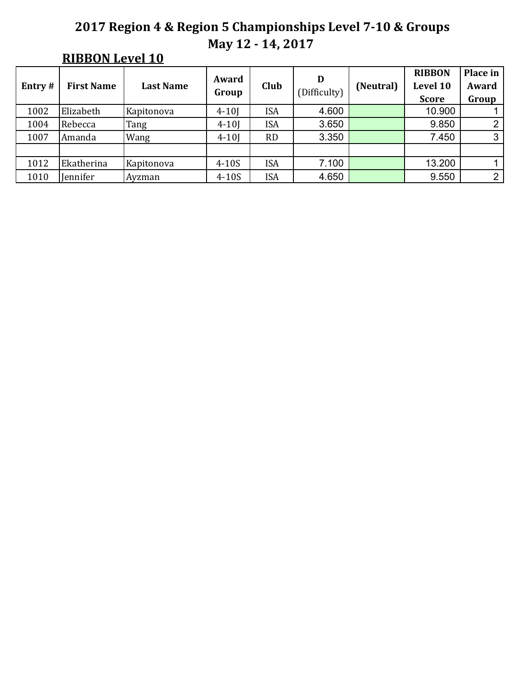## **RIBBON Level 10**

| Entry $#$ | <b>First Name</b> | <b>Last Name</b> | Award<br>Group | Club       | D<br>(Difficulty) | (Neutral) | <b>RIBBON</b><br>Level 10<br><b>Score</b> | Place in<br>Award<br>Group |
|-----------|-------------------|------------------|----------------|------------|-------------------|-----------|-------------------------------------------|----------------------------|
| 1002      | Elizabeth         | Kapitonova       | $4 - 10$       | <b>ISA</b> | 4.600             |           | 10.900                                    |                            |
| 1004      | Rebecca           | Tang             | $4 - 10$       | <b>ISA</b> | 3.650             |           | 9.850                                     | ∩                          |
| 1007      | Amanda            | Wang             | $4 - 10$       | <b>RD</b>  | 3.350             |           | 7.450                                     | 3                          |
|           |                   |                  |                |            |                   |           |                                           |                            |
| 1012      | Ekatherina        | Kapitonova       | $4-10S$        | <b>ISA</b> | 7.100             |           | 13.200                                    |                            |
| 1010      | Jennifer          | Ayzman           | $4-10S$        | <b>ISA</b> | 4.650             |           | 9.550                                     | $\overline{2}$             |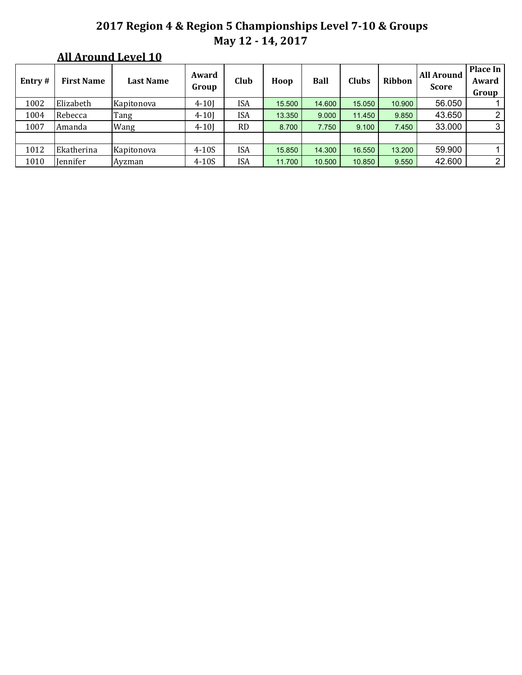### **All Around Level 10**

| Entry# | <b>First Name</b> | <b>Last Name</b> | Award<br>Group | Club       | Hoop   | Ball   | <b>Clubs</b> | Ribbon | <b>All Around</b><br><b>Score</b> | <b>Place In</b><br>Award<br>Group |
|--------|-------------------|------------------|----------------|------------|--------|--------|--------------|--------|-----------------------------------|-----------------------------------|
| 1002   | Elizabeth         | Kapitonova       | $4 - 10$       | <b>ISA</b> | 15.500 | 14.600 | 15.050       | 10.900 | 56.050                            |                                   |
| 1004   | Rebecca           | Tang             | $4 - 10$       | ISA        | 13.350 | 9.000  | 11.450       | 9.850  | 43.650                            | 2                                 |
| 1007   | Amanda            | Wang             | $4 - 10$       | <b>RD</b>  | 8.700  | 7.750  | 9.100        | 7.450  | 33.000                            | 3                                 |
|        |                   |                  |                |            |        |        |              |        |                                   |                                   |
| 1012   | Ekatherina        | Kapitonova       | $4-10S$        | <b>ISA</b> | 15.850 | 14.300 | 16.550       | 13.200 | 59.900                            |                                   |
| 1010   | Jennifer          | Ayzman           | $4-10S$        | ISA        | 11.700 | 10.500 | 10.850       | 9.550  | 42.600                            | $\overline{2}$                    |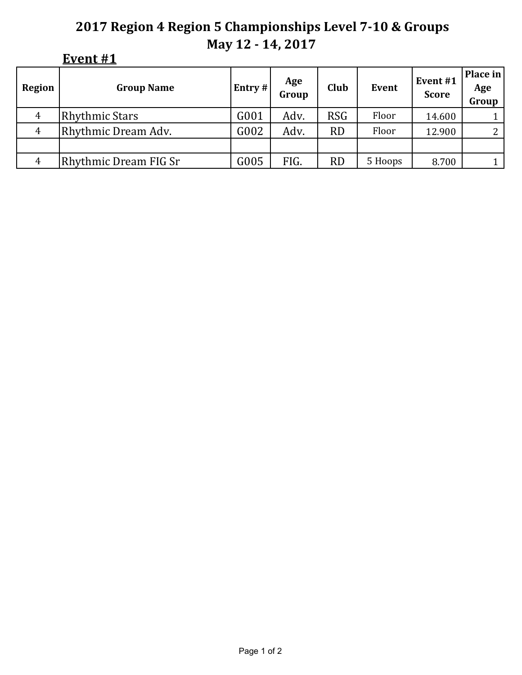|  | ١Ι<br>ı<br>- 1 |  |
|--|----------------|--|
|--|----------------|--|

| Region         | <b>Group Name</b>     | Entry # | Age<br>Group | Club       | <b>Event</b> | Event#1<br><b>Score</b> | Place in<br>Age<br>Group |
|----------------|-----------------------|---------|--------------|------------|--------------|-------------------------|--------------------------|
| 4              | <b>Rhythmic Stars</b> | G001    | Adv.         | <b>RSG</b> | Floor        | 14.600                  |                          |
| $\overline{4}$ | Rhythmic Dream Adv.   | G002    | Adv.         | <b>RD</b>  | Floor        | 12.900                  | $\mathcal{D}$            |
|                |                       |         |              |            |              |                         |                          |
| $\overline{4}$ | Rhythmic Dream FIG Sr | G005    | FIG.         | <b>RD</b>  | 5 Hoops      | 8.700                   |                          |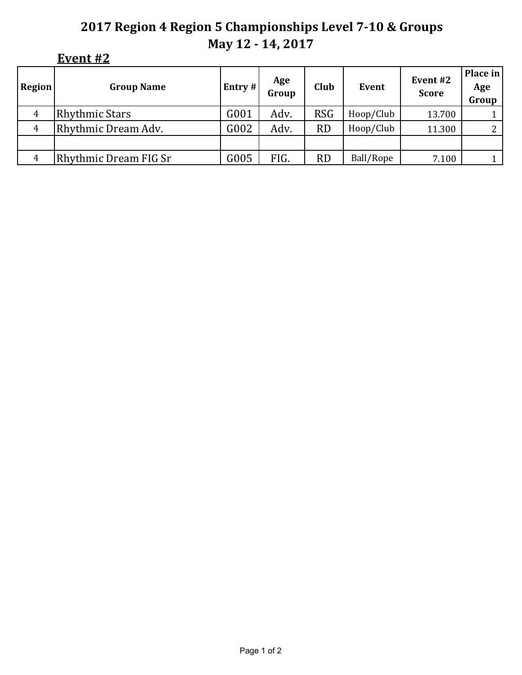#### **Event #2**

| <b>Region</b>  | <b>Group Name</b>     | Entry # | Age<br>Group | <b>Club</b> | Event     | Event #2<br><b>Score</b> | Place in<br>Age<br>Group |
|----------------|-----------------------|---------|--------------|-------------|-----------|--------------------------|--------------------------|
| $\overline{4}$ | <b>Rhythmic Stars</b> | G001    | Adv.         | <b>RSG</b>  | Hoop/Club | 13.700                   |                          |
| 4              | Rhythmic Dream Adv.   | G002    | Adv.         | <b>RD</b>   | Hoop/Club | 11.300                   |                          |
|                |                       |         |              |             |           |                          |                          |
| 4              | Rhythmic Dream FIG Sr | G005    | FIG.         | <b>RD</b>   | Ball/Rope | 7.100                    |                          |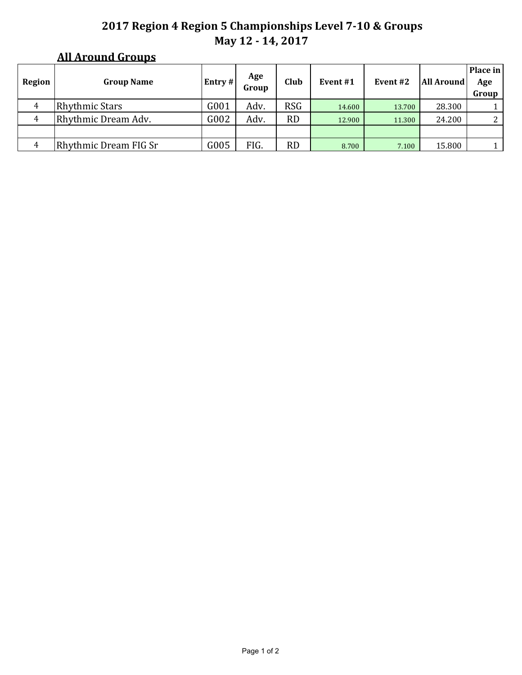### **All Around Groups**

| Region | <b>Group Name</b>     | Entry # | Age<br>Group | Club       | Event #1 | Event #2 | <b>All Around</b> | Place in<br>Age<br>Group |
|--------|-----------------------|---------|--------------|------------|----------|----------|-------------------|--------------------------|
| 4      | <b>Rhythmic Stars</b> | G001    | Adv.         | <b>RSG</b> | 14.600   | 13.700   | 28.300            |                          |
| 4      | Rhythmic Dream Adv.   | G002    | Adv.         | <b>RD</b>  | 12.900   | 11.300   | 24.200            | 2                        |
|        |                       |         |              |            |          |          |                   |                          |
| 4      | Rhythmic Dream FIG Sr | G005    | FIG.         | RD         | 8.700    | 7.100    | 15.800            |                          |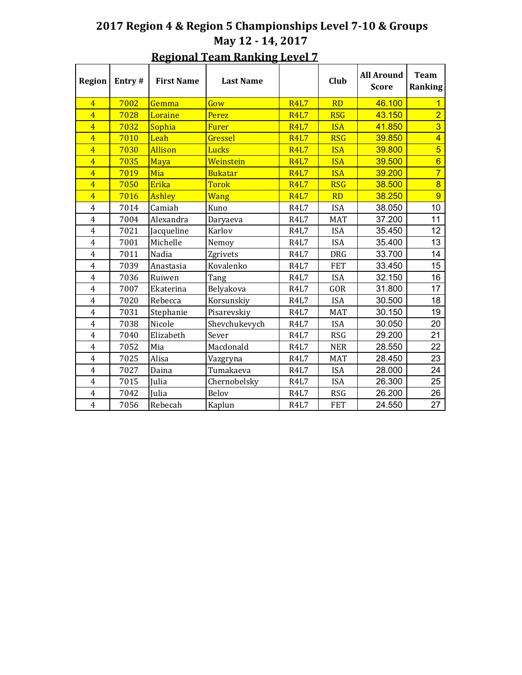| <b>Region</b>  | Entry# | <b>First Name</b> | <b>Last Name</b> |             | Club       | <b>All Around</b><br><b>Score</b> | <b>Team</b><br>Ranking |
|----------------|--------|-------------------|------------------|-------------|------------|-----------------------------------|------------------------|
| $\overline{4}$ | 7002   | Gemma             | Gow              | <b>R4L7</b> | <b>RD</b>  | 46.100                            | 1                      |
| $\overline{4}$ | 7028   | Loraine           | Perez            | <b>R4L7</b> | <b>RSG</b> | 43.150                            | $\overline{2}$         |
| $\overline{4}$ | 7032   | Sophia            | <b>Furer</b>     | <b>R4L7</b> | <b>ISA</b> | 41.850                            | $\overline{3}$         |
| $\overline{4}$ | 7010   | Leah              | Gressel          | <b>R4L7</b> | <b>RSG</b> | 39.850                            | $\overline{4}$         |
| $\overline{4}$ | 7030   | Allison           | Lucks            | <b>R4L7</b> | <b>ISA</b> | 39.800                            | $\overline{5}$         |
| $\overline{4}$ | 7035   | Maya              | Weinstein        | <b>R4L7</b> | <b>ISA</b> | 39.500                            | $6\overline{6}$        |
| $\overline{4}$ | 7019   | Mia               | <b>Bukatar</b>   | <b>R4L7</b> | <b>ISA</b> | 39.200                            | $\overline{7}$         |
| $\overline{4}$ | 7050   | Erika             | <b>Torok</b>     | <b>R4L7</b> | <b>RSG</b> | 38.500                            | $\overline{8}$         |
| $\overline{4}$ | 7016   | <b>Ashley</b>     | <b>Wang</b>      | <b>R4L7</b> | <b>RD</b>  | 38.250                            | $\overline{9}$         |
| 4              | 7014   | Camiah            | Kuno             | <b>R4L7</b> | <b>ISA</b> | 38.050                            | 10                     |
| $\overline{4}$ | 7004   | Alexandra         | Daryaeva         | <b>R4L7</b> | <b>MAT</b> | 37.200                            | 11                     |
| 4              | 7021   | Jacqueline        | Karlov           | <b>R4L7</b> | <b>ISA</b> | 35.450                            | 12                     |
| $\overline{4}$ | 7001   | Michelle          | Nemoy            | <b>R4L7</b> | <b>ISA</b> | 35.400                            | 13                     |
| 4              | 7011   | Nadia             | Zgrivets         | <b>R4L7</b> | <b>DRG</b> | 33.700                            | 14                     |
| $\overline{4}$ | 7039   | Anastasia         | Kovalenko        | <b>R4L7</b> | <b>FET</b> | 33.450                            | 15                     |
| 4              | 7036   | Ruiwen            | Tang             | <b>R4L7</b> | <b>ISA</b> | 32.150                            | 16                     |
| $\overline{4}$ | 7007   | Ekaterina         | Belyakova        | <b>R4L7</b> | GOR        | 31.800                            | 17                     |
| 4              | 7020   | Rebecca           | Korsunskiy       | <b>R4L7</b> | <b>ISA</b> | 30.500                            | 18                     |
| 4              | 7031   | Stephanie         | Pisarevskiy      | <b>R4L7</b> | <b>MAT</b> | 30.150                            | 19                     |
| 4              | 7038   | Nicole            | Shevchukevych    | <b>R4L7</b> | <b>ISA</b> | 30.050                            | 20                     |
| 4              | 7040   | Elizabeth         | Sever            | <b>R4L7</b> | <b>RSG</b> | 29.200                            | 21                     |
| 4              | 7052   | Mia               | Macdonald        | <b>R4L7</b> | <b>NER</b> | 28.550                            | 22                     |
| 4              | 7025   | Alisa             | Vazgryna         | <b>R4L7</b> | <b>MAT</b> | 28.450                            | 23                     |
| $\overline{4}$ | 7027   | Daina             | Tumakaeva        | <b>R4L7</b> | <b>ISA</b> | 28.000                            | 24                     |
| $\overline{4}$ | 7015   | Julia             | Chernobelsky     | <b>R4L7</b> | <b>ISA</b> | 26.300                            | 25                     |
| $\overline{4}$ | 7042   | <b>Julia</b>      | Belov            | <b>R4L7</b> | <b>RSG</b> | 26.200                            | 26                     |
| $\overline{4}$ | 7056   | Rebecah           | Kaplun           | <b>R4L7</b> | <b>FET</b> | 24.550                            | 27                     |

#### **Regional Team Ranking Level 7**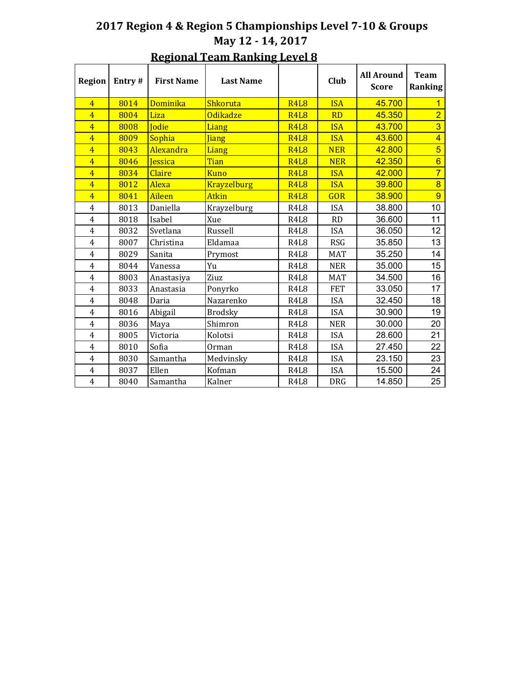| <b>Region</b>           | Entry# | <b>First Name</b> | <b>Last Name</b>   |                               | Club       | <b>All Around</b><br><b>Score</b> | <b>Team</b><br>Ranking |
|-------------------------|--------|-------------------|--------------------|-------------------------------|------------|-----------------------------------|------------------------|
| $\overline{4}$          | 8014   | Dominika          | Shkoruta           | <b>R4L8</b>                   | <b>ISA</b> | 45.700                            |                        |
| $\overline{4}$          | 8004   | Liza              | <b>Odikadze</b>    | <b>R4L8</b>                   | <b>RD</b>  | 45.350                            | $\overline{2}$         |
| $\overline{4}$          | 8008   | Jodie             | Liang              | <b>R4L8</b>                   | <b>ISA</b> | 43.700                            | $\overline{3}$         |
| $\overline{4}$          | 8009   | Sophia            | <b>Jiang</b>       | <b>R4L8</b>                   | <b>ISA</b> | 43.600                            | $\overline{4}$         |
| $\overline{4}$          | 8043   | Alexandra         | Liang              | <b>R4L8</b>                   | <b>NER</b> | 42.800                            | $\overline{5}$         |
| $\overline{4}$          | 8046   | Jessica           | Tian               | <b>R4L8</b>                   | <b>NER</b> | 42.350                            | $6\overline{6}$        |
| $\overline{4}$          | 8034   | Claire            | <b>Kuno</b>        | <b>R4L8</b>                   | <b>ISA</b> | 42,000                            | $\overline{7}$         |
| $\overline{4}$          | 8012   | Alexa             | <b>Krayzelburg</b> | <b>R4L8</b>                   | <b>ISA</b> | 39.800                            | $\overline{8}$         |
| $\overline{4}$          | 8041   | Aileen            | <b>Atkin</b>       | <b>R4L8</b>                   | <b>GOR</b> | 38.900                            | $\overline{9}$         |
| $\overline{\mathbf{4}}$ | 8013   | Daniella          | Krayzelburg        | R <sub>4</sub> L <sub>8</sub> | <b>ISA</b> | 38.800                            | 10                     |
| $\overline{4}$          | 8018   | Isabel            | Xue                | R4L8                          | <b>RD</b>  | 36.600                            | 11                     |
| $\overline{4}$          | 8032   | Svetlana          | Russell            | R <sub>4</sub> L <sub>8</sub> | <b>ISA</b> | 36.050                            | 12                     |
| 4                       | 8007   | Christina         | Eldamaa            | R <sub>4</sub> L <sub>8</sub> | <b>RSG</b> | 35.850                            | 13                     |
| $\overline{4}$          | 8029   | Sanita            | Prymost            | R <sub>4</sub> L <sub>8</sub> | <b>MAT</b> | 35.250                            | 14                     |
| $\overline{4}$          | 8044   | Vanessa           | Yu                 | R <sub>4</sub> L <sub>8</sub> | <b>NER</b> | 35.000                            | 15                     |
| $\overline{4}$          | 8003   | Anastasiya        | Ziuz               | R4L8                          | <b>MAT</b> | 34.500                            | 16                     |
| $\overline{4}$          | 8033   | Anastasia         | Ponyrko            | R <sub>4</sub> L <sub>8</sub> | <b>FET</b> | 33.050                            | 17                     |
| $\overline{4}$          | 8048   | Daria             | Nazarenko          | R <sub>4</sub> L <sub>8</sub> | <b>ISA</b> | 32.450                            | 18                     |
| $\overline{4}$          | 8016   | Abigail           | <b>Brodsky</b>     | R <sub>4</sub> L <sub>8</sub> | <b>ISA</b> | 30.900                            | 19                     |
| $\overline{4}$          | 8036   | Maya              | Shimron            | R <sub>4</sub> L <sub>8</sub> | <b>NER</b> | 30.000                            | 20                     |
| $\overline{4}$          | 8005   | Victoria          | Kolotsi            | R <sub>4</sub> L <sub>8</sub> | <b>ISA</b> | 28.600                            | 21                     |
| $\overline{4}$          | 8010   | Sofia             | Orman              | R <sub>4</sub> L <sub>8</sub> | <b>ISA</b> | 27.450                            | 22                     |
| $\overline{4}$          | 8030   | Samantha          | Medvinsky          | R <sub>4</sub> L <sub>8</sub> | <b>ISA</b> | 23.150                            | 23                     |
| $\overline{4}$          | 8037   | Ellen             | Kofman             | R4L8                          | <b>ISA</b> | 15.500                            | 24                     |
| $\overline{4}$          | 8040   | Samantha          | Kalner             | R <sub>4</sub> L <sub>8</sub> | <b>DRG</b> | 14.850                            | 25                     |

#### **Regional Team Ranking Level 8**